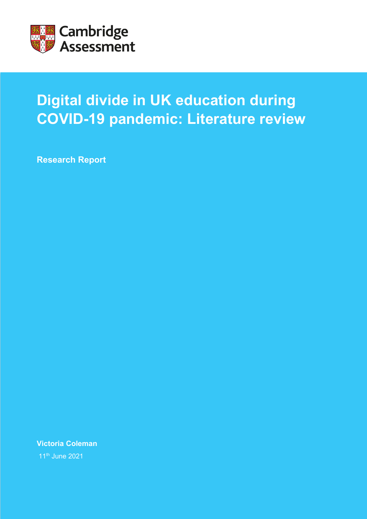

# **Digital divide in UK education during COVID-19 pandemic: Literature review**

**Research Report**

**Victoria Coleman**

11th June 2021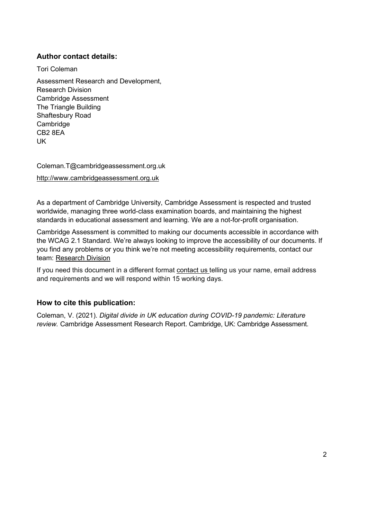### **Author contact details:**

Tori Coleman

Assessment Research and Development, Research Division Cambridge Assessment The Triangle Building Shaftesbury Road Cambridge CB2 8EA UK

Coleman.T@cambridgeassessment.org.uk [http://www.cambridgeassessment.org.uk](http://www.cambridgeassessment.org.uk/)

As a department of Cambridge University, Cambridge Assessment is respected and trusted worldwide, managing three world-class examination boards, and maintaining the highest standards in educational assessment and learning. We are a not-for-profit organisation.

Cambridge Assessment is committed to making our documents accessible in accordance with the WCAG 2.1 Standard. We're always looking to improve the accessibility of our documents. If you find any problems or you think we're not meeting accessibility requirements, contact our team: [Research Division](mailto:researchdivision@cambridgeassessment.org.uk?subject=Accessibility)

If you need this document in a different format [contact us](mailto:researchdivision@cambridgeassessment.org.uk?subject=Accessibility) telling us your name, email address and requirements and we will respond within 15 working days.

### **How to cite this publication:**

Coleman, V. (2021). *Digital divide in UK education during COVID-19 pandemic: Literature review.* Cambridge Assessment Research Report. Cambridge, UK: Cambridge Assessment.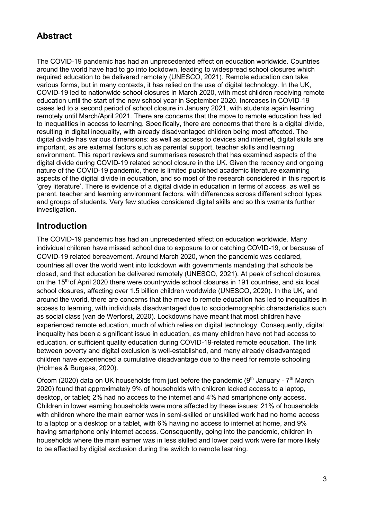# **Abstract**

The COVID-19 pandemic has had an unprecedented effect on education worldwide. Countries around the world have had to go into lockdown, leading to widespread school closures which required education to be delivered remotely (UNESCO, 2021). Remote education can take various forms, but in many contexts, it has relied on the use of digital technology. In the UK, COVID-19 led to nationwide school closures in March 2020, with most children receiving remote education until the start of the new school year in September 2020. Increases in COVID-19 cases led to a second period of school closure in January 2021, with students again learning remotely until March/April 2021. There are concerns that the move to remote education has led to inequalities in access to learning. Specifically, there are concerns that there is a digital divide, resulting in digital inequality, with already disadvantaged children being most affected. The digital divide has various dimensions: as well as access to devices and internet, digital skills are important, as are external factors such as parental support, teacher skills and learning environment. This report reviews and summarises research that has examined aspects of the digital divide during COVID-19 related school closure in the UK. Given the recency and ongoing nature of the COVID-19 pandemic, there is limited published academic literature examining aspects of the digital divide in education, and so most of the research considered in this report is 'grey literature'. There is evidence of a digital divide in education in terms of access, as well as parent, teacher and learning environment factors, with differences across different school types and groups of students. Very few studies considered digital skills and so this warrants further investigation.

# **Introduction**

The COVID-19 pandemic has had an unprecedented effect on education worldwide. Many individual children have missed school due to exposure to or catching COVID-19, or because of COVID-19 related bereavement. Around March 2020, when the pandemic was declared, countries all over the world went into lockdown with governments mandating that schools be closed, and that education be delivered remotely (UNESCO, 2021). At peak of school closures, on the 15<sup>th</sup> of April 2020 there were countrywide school closures in 191 countries, and six local school closures, affecting over 1.5 billion children worldwide (UNESCO, 2020). In the UK, and around the world, there are concerns that the move to remote education has led to inequalities in access to learning, with individuals disadvantaged due to sociodemographic characteristics such as social class (van de Werforst, 2020). Lockdowns have meant that most children have experienced remote education, much of which relies on digital technology. Consequently, digital inequality has been a significant issue in education, as many children have not had access to education, or sufficient quality education during COVID-19-related remote education. The link between poverty and digital exclusion is well-established, and many already disadvantaged children have experienced a cumulative disadvantage due to the need for remote schooling (Holmes & Burgess, 2020).

Ofcom (2020) data on UK households from just before the pandemic ( $9<sup>th</sup>$  January -  $7<sup>th</sup>$  March 2020) found that approximately 9% of households with children lacked access to a laptop, desktop, or tablet; 2% had no access to the internet and 4% had smartphone only access. Children in lower earning households were more affected by these issues: 21% of households with children where the main earner was in semi-skilled or unskilled work had no home access to a laptop or a desktop or a tablet, with 6% having no access to internet at home, and 9% having smartphone only internet access. Consequently, going into the pandemic, children in households where the main earner was in less skilled and lower paid work were far more likely to be affected by digital exclusion during the switch to remote learning.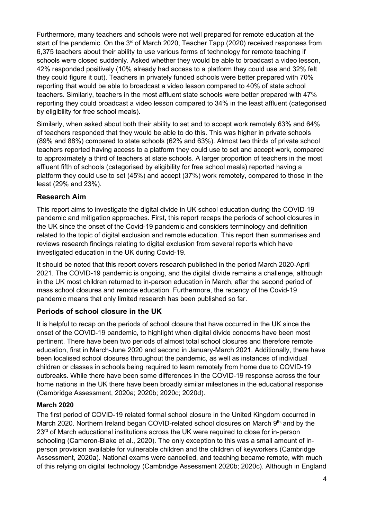Furthermore, many teachers and schools were not well prepared for remote education at the start of the pandemic. On the  $3<sup>rd</sup>$  of March 2020, Teacher Tapp (2020) received responses from 6,375 teachers about their ability to use various forms of technology for remote teaching if schools were closed suddenly. Asked whether they would be able to broadcast a video lesson, 42% responded positively (10% already had access to a platform they could use and 32% felt they could figure it out). Teachers in privately funded schools were better prepared with 70% reporting that would be able to broadcast a video lesson compared to 40% of state school teachers. Similarly, teachers in the most affluent state schools were better prepared with 47% reporting they could broadcast a video lesson compared to 34% in the least affluent (categorised by eligibility for free school meals).

Similarly, when asked about both their ability to set and to accept work remotely 63% and 64% of teachers responded that they would be able to do this. This was higher in private schools (89% and 88%) compared to state schools (62% and 63%). Almost two thirds of private school teachers reported having access to a platform they could use to set and accept work, compared to approximately a third of teachers at state schools. A larger proportion of teachers in the most affluent fifth of schools (categorised by eligibility for free school meals) reported having a platform they could use to set (45%) and accept (37%) work remotely, compared to those in the least (29% and 23%).

### **Research Aim**

This report aims to investigate the digital divide in UK school education during the COVID-19 pandemic and mitigation approaches. First, this report recaps the periods of school closures in the UK since the onset of the Covid-19 pandemic and considers terminology and definition related to the topic of digital exclusion and remote education. This report then summarises and reviews research findings relating to digital exclusion from several reports which have investigated education in the UK during Covid-19.

It should be noted that this report covers research published in the period March 2020-April 2021. The COVID-19 pandemic is ongoing, and the digital divide remains a challenge, although in the UK most children returned to in-person education in March, after the second period of mass school closures and remote education. Furthermore, the recency of the Covid-19 pandemic means that only limited research has been published so far.

### **Periods of school closure in the UK**

It is helpful to recap on the periods of school closure that have occurred in the UK since the onset of the COVID-19 pandemic, to highlight when digital divide concerns have been most pertinent. There have been two periods of almost total school closures and therefore remote education, first in March-June 2020 and second in January-March 2021. Additionally, there have been localised school closures throughout the pandemic, as well as instances of individual children or classes in schools being required to learn remotely from home due to COVID-19 outbreaks. While there have been some differences in the COVID-19 response across the four home nations in the UK there have been broadly similar milestones in the educational response (Cambridge Assessment, 2020a; 2020b; 2020c; 2020d).

### **March 2020**

The first period of COVID-19 related formal school closure in the United Kingdom occurred in March 2020. Northern Ireland began COVID-related school closures on March 9th, and by the  $23<sup>rd</sup>$  of March educational institutions across the UK were required to close for in-person schooling (Cameron-Blake et al., 2020). The only exception to this was a small amount of inperson provision available for vulnerable children and the children of keyworkers (Cambridge Assessment, 2020a). National exams were cancelled, and teaching became remote, with much of this relying on digital technology (Cambridge Assessment 2020b; 2020c). Although in England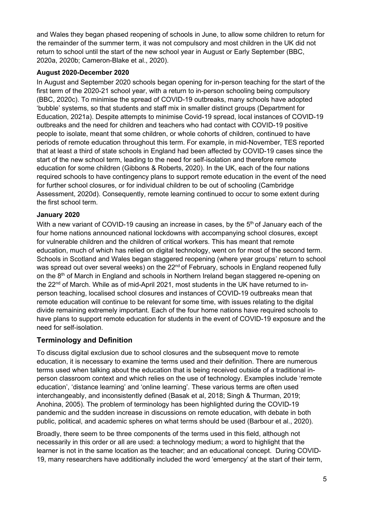and Wales they began phased reopening of schools in June, to allow some children to return for the remainder of the summer term, it was not compulsory and most children in the UK did not return to school until the start of the new school year in August or Early September (BBC, 2020a, 2020b; Cameron-Blake et al., 2020).

#### **August 2020-December 2020**

In August and September 2020 schools began opening for in-person teaching for the start of the first term of the 2020-21 school year, with a return to in-person schooling being compulsory (BBC, 2020c). To minimise the spread of COVID-19 outbreaks, many schools have adopted 'bubble' systems, so that students and staff mix in smaller distinct groups (Department for Education, 2021a). Despite attempts to minimise Covid-19 spread, local instances of COVID-19 outbreaks and the need for children and teachers who had contact with COVID-19 positive people to isolate, meant that some children, or whole cohorts of children, continued to have periods of remote education throughout this term. For example, in mid-November, TES reported that at least a third of state schools in England had been affected by COVID-19 cases since the start of the new school term, leading to the need for self-isolation and therefore remote education for some children (Gibbons & Roberts, 2020). In the UK, each of the four nations required schools to have contingency plans to support remote education in the event of the need for further school closures, or for individual children to be out of schooling (Cambridge Assessment, 2020d). Consequently, remote learning continued to occur to some extent during the first school term.

### **January 2020**

With a new variant of COVID-19 causing an increase in cases, by the  $5<sup>th</sup>$  of January each of the four home nations announced national lockdowns with accompanying school closures, except for vulnerable children and the children of critical workers. This has meant that remote education, much of which has relied on digital technology, went on for most of the second term. Schools in Scotland and Wales began staggered reopening (where year groups' return to school was spread out over several weeks) on the 22<sup>nd</sup> of February, schools in England reopened fully on the 8<sup>th</sup> of March in England and schools in Northern Ireland began staggered re-opening on the 22<sup>nd</sup> of March. While as of mid-April 2021, most students in the UK have returned to inperson teaching, localised school closures and instances of COVID-19 outbreaks mean that remote education will continue to be relevant for some time, with issues relating to the digital divide remaining extremely important. Each of the four home nations have required schools to have plans to support remote education for students in the event of COVID-19 exposure and the need for self-isolation.

# **Terminology and Definition**

To discuss digital exclusion due to school closures and the subsequent move to remote education, it is necessary to examine the terms used and their definition. There are numerous terms used when talking about the education that is being received outside of a traditional inperson classroom context and which relies on the use of technology. Examples include 'remote education', 'distance learning' and 'online learning'. These various terms are often used interchangeably, and inconsistently defined (Basak et al, 2018; Singh & Thurman, 2019; Anohina, 2005). The problem of terminology has been highlighted during the COVID-19 pandemic and the sudden increase in discussions on remote education, with debate in both public, political, and academic spheres on what terms should be used (Barbour et al., 2020).

Broadly, there seem to be three components of the terms used in this field, although not necessarily in this order or all are used: a technology medium; a word to highlight that the learner is not in the same location as the teacher; and an educational concept. During COVID-19, many researchers have additionally included the word 'emergency' at the start of their term,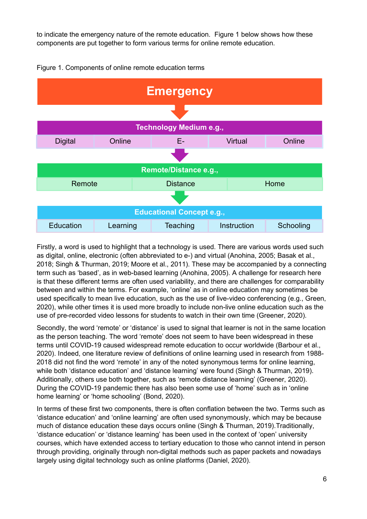to indicate the emergency nature of the remote education. Figure 1 below shows how these components are put together to form various terms for online remote education.



#### Figure 1. Components of online remote education terms

Firstly, a word is used to highlight that a technology is used. There are various words used such as digital, online, electronic (often abbreviated to e-) and virtual (Anohina, 2005; Basak et al., 2018; Singh & Thurman, 2019; Moore et al., 2011). These may be accompanied by a connecting term such as 'based', as in web-based learning (Anohina, 2005). A challenge for research here is that these different terms are often used variability, and there are challenges for comparability between and within the terms. For example, 'online' as in online education may sometimes be used specifically to mean live education, such as the use of live-video conferencing (e.g., Green, 2020), while other times it is used more broadly to include non-live online education such as the use of pre-recorded video lessons for students to watch in their own time (Greener, 2020).

Secondly, the word 'remote' or 'distance' is used to signal that learner is not in the same location as the person teaching. The word 'remote' does not seem to have been widespread in these terms until COVID-19 caused widespread remote education to occur worldwide (Barbour et al., 2020). Indeed, one literature review of definitions of online learning used in research from 1988- 2018 did not find the word 'remote' in any of the noted synonymous terms for online learning, while both 'distance education' and 'distance learning' were found (Singh & Thurman, 2019). Additionally, others use both together, such as 'remote distance learning' (Greener, 2020). During the COVID-19 pandemic there has also been some use of 'home' such as in 'online home learning' or 'home schooling' (Bond, 2020).

In terms of these first two components, there is often conflation between the two. Terms such as 'distance education' and 'online learning' are often used synonymously, which may be because much of distance education these days occurs online (Singh & Thurman, 2019).Traditionally, 'distance education' or 'distance learning' has been used in the context of 'open' university courses, which have extended access to tertiary education to those who cannot intend in person through providing, originally through non-digital methods such as paper packets and nowadays largely using digital technology such as online platforms (Daniel, 2020).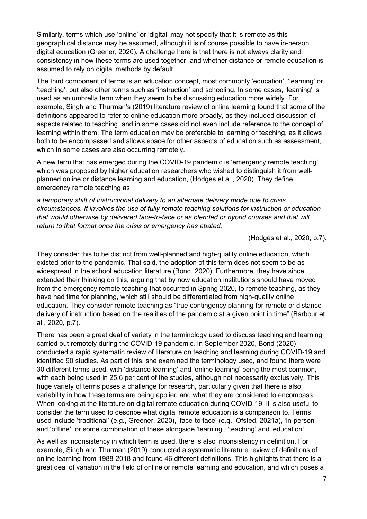Similarly, terms which use 'online' or 'digital' may not specify that it is remote as this geographical distance may be assumed, although it is of course possible to have in-person digital education (Greener, 2020). A challenge here is that there is not always clarity and consistency in how these terms are used together, and whether distance or remote education is assumed to rely on digital methods by default.

The third component of terms is an education concept, most commonly 'education', 'learning' or 'teaching', but also other terms such as 'instruction' and schooling. In some cases, 'learning' is used as an umbrella term when they seem to be discussing education more widely. For example, Singh and Thurman's (2019) literature review of online learning found that some of the definitions appeared to refer to online education more broadly, as they included discussion of aspects related to teaching, and in some cases did not even include reference to the concept of learning within them. The term education may be preferable to learning or teaching, as it allows both to be encompassed and allows space for other aspects of education such as assessment, which in some cases are also occurring remotely.

A new term that has emerged during the COVID-19 pandemic is 'emergency remote teaching' which was proposed by higher education researchers who wished to distinguish it from wellplanned online or distance learning and education, (Hodges et al., 2020). They define emergency remote teaching as

*a temporary shift of instructional delivery to an alternate delivery mode due to crisis circumstances. It involves the use of fully remote teaching solutions for instruction or education that would otherwise by delivered face-to-face or as blended or hybrid courses and that will return to that format once the crisis or emergency has abated.*

(Hodges et al., 2020, p.7).

They consider this to be distinct from well-planned and high-quality online education, which existed prior to the pandemic. That said, the adoption of this term does not seem to be as widespread in the school education literature (Bond, 2020). Furthermore, they have since extended their thinking on this, arguing that by now education institutions should have moved from the emergency remote teaching that occurred in Spring 2020, to remote teaching, as they have had time for planning, which still should be differentiated from high-quality online education. They consider remote teaching as "true contingency planning for remote or distance delivery of instruction based on the realities of the pandemic at a given point in time" (Barbour et al., 2020, p.7).

There has been a great deal of variety in the terminology used to discuss teaching and learning carried out remotely during the COVID-19 pandemic. In September 2020, Bond (2020) conducted a rapid systematic review of literature on teaching and learning during COVID-19 and identified 90 studies. As part of this, she examined the terminology used, and found there were 30 different terms used, with 'distance learning' and 'online learning' being the most common, with each being used in 25.6 per cent of the studies, although not necessarily exclusively. This huge variety of terms poses a challenge for research, particularly given that there is also variability in how these terms are being applied and what they are considered to encompass. When looking at the literature on digital remote education during COVID-19, it is also useful to consider the term used to describe what digital remote education is a comparison to. Terms used include 'traditional' (e.g., Greener, 2020), 'face-to face' (e.g., Ofsted, 2021a), 'in-person' and 'offline', or some combination of these alongside 'learning', 'teaching' and 'education'.

As well as inconsistency in which term is used, there is also inconsistency in definition. For example, Singh and Thurman (2019) conducted a systematic literature review of definitions of online learning from 1988-2018 and found 46 different definitions. This highlights that there is a great deal of variation in the field of online or remote learning and education, and which poses a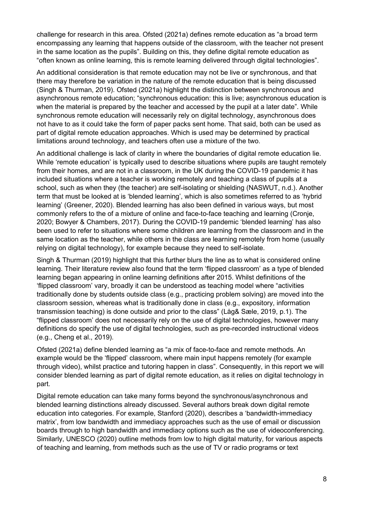challenge for research in this area. Ofsted (2021a) defines remote education as "a broad term encompassing any learning that happens outside of the classroom, with the teacher not present in the same location as the pupils". Building on this, they define digital remote education as "often known as online learning, this is remote learning delivered through digital technologies".

An additional consideration is that remote education may not be live or synchronous, and that there may therefore be variation in the nature of the remote education that is being discussed (Singh & Thurman, 2019). Ofsted (2021a) highlight the distinction between synchronous and asynchronous remote education; "synchronous education: this is live; asynchronous education is when the material is prepared by the teacher and accessed by the pupil at a later date". While synchronous remote education will necessarily rely on digital technology, asynchronous does not have to as it could take the form of paper packs sent home. That said, both can be used as part of digital remote education approaches. Which is used may be determined by practical limitations around technology, and teachers often use a mixture of the two.

An additional challenge is lack of clarity in where the boundaries of digital remote education lie. While 'remote education' is typically used to describe situations where pupils are taught remotely from their homes, and are not in a classroom, in the UK during the COVID-19 pandemic it has included situations where a teacher is working remotely and teaching a class of pupils at a school, such as when they (the teacher) are self-isolating or shielding (NASWUT, n.d.). Another term that must be looked at is 'blended learning', which is also sometimes referred to as 'hybrid learning' (Greener, 2020). Blended learning has also been defined in various ways, but most commonly refers to the of a mixture of online and face-to-face teaching and learning (Cronje, 2020; Bowyer & Chambers, 2017). During the COVID-19 pandemic 'blended learning' has also been used to refer to situations where some children are learning from the classroom and in the same location as the teacher, while others in the class are learning remotely from home (usually relying on digital technology), for example because they need to self-isolate.

Singh & Thurman (2019) highlight that this further blurs the line as to what is considered online learning. Their literature review also found that the term 'flipped classroom' as a type of blended learning began appearing in online learning definitions after 2015. Whilst definitions of the 'flipped classroom' vary, broadly it can be understood as teaching model where "activities traditionally done by students outside class (e.g., practicing problem solving) are moved into the classroom session, whereas what is traditionally done in class (e.g., expository, information transmission teaching) is done outside and prior to the class" (Låg& Sæle, 2019, p.1). The "flipped classroom' does not necessarily rely on the use of digital technologies, however many definitions do specify the use of digital technologies, such as pre-recorded instructional videos (e.g., Cheng et al., 2019).

Ofsted (2021a) define blended learning as "a mix of face-to-face and remote methods. An example would be the 'flipped' classroom, where main input happens remotely (for example through video), whilst practice and tutoring happen in class". Consequently, in this report we will consider blended learning as part of digital remote education, as it relies on digital technology in part.

Digital remote education can take many forms beyond the synchronous/asynchronous and blended learning distinctions already discussed. Several authors break down digital remote education into categories. For example, Stanford (2020), describes a 'bandwidth-immediacy matrix', from low bandwidth and immediacy approaches such as the use of email or discussion boards through to high bandwidth and immediacy options such as the use of videoconferencing. Similarly, UNESCO (2020) outline methods from low to high digital maturity, for various aspects of teaching and learning, from methods such as the use of TV or radio programs or text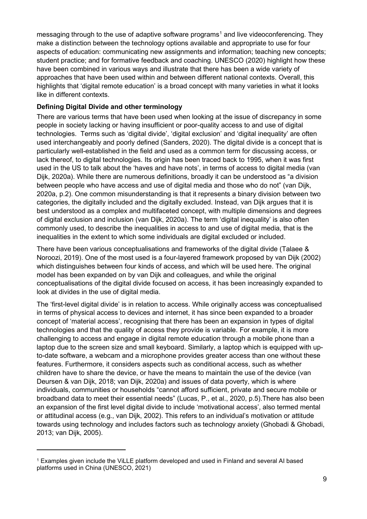messaging through to the use of adaptive software programs<sup>[1](#page-8-0)</sup> and live videoconferencing. They make a distinction between the technology options available and appropriate to use for four aspects of education: communicating new assignments and information; teaching new concepts; student practice; and for formative feedback and coaching. UNESCO (2020) highlight how these have been combined in various ways and illustrate that there has been a wide variety of approaches that have been used within and between different national contexts. Overall, this highlights that 'digital remote education' is a broad concept with many varieties in what it looks like in different contexts.

#### **Defining Digital Divide and other terminology**

There are various terms that have been used when looking at the issue of discrepancy in some people in society lacking or having insufficient or poor-quality access to and use of digital technologies. Terms such as 'digital divide', 'digital exclusion' and 'digital inequality' are often used interchangeably and poorly defined (Sanders, 2020). The digital divide is a concept that is particularly well-established in the field and used as a common term for discussing access, or lack thereof, to digital technologies. Its origin has been traced back to 1995, when it was first used in the US to talk about the 'haves and have nots', in terms of access to digital media (van Dijk, 2020a). While there are numerous definitions, broadly it can be understood as "a division between people who have access and use of digital media and those who do not" (van Dijk, 2020a, p.2). One common misunderstanding is that it represents a binary division between two categories, the digitally included and the digitally excluded. Instead, van Dijk argues that it is best understood as a complex and multifaceted concept, with multiple dimensions and degrees of digital exclusion and inclusion (van Dijk, 2020a). The term 'digital inequality' is also often commonly used, to describe the inequalities in access to and use of digital media, that is the inequalities in the extent to which some individuals are digital excluded or included.

There have been various conceptualisations and frameworks of the digital divide (Talaee & Noroozi, 2019). One of the most used is a four-layered framework proposed by van Dijk (2002) which distinguishes between four kinds of access, and which will be used here. The original model has been expanded on by van Dijk and colleagues, and while the original conceptualisations of the digital divide focused on access, it has been increasingly expanded to look at divides in the use of digital media.

The 'first-level digital divide' is in relation to access. While originally access was conceptualised in terms of physical access to devices and internet, it has since been expanded to a broader concept of 'material access', recognising that there has been an expansion in types of digital technologies and that the quality of access they provide is variable. For example, it is more challenging to access and engage in digital remote education through a mobile phone than a laptop due to the screen size and small keyboard. Similarly, a laptop which is equipped with upto-date software, a webcam and a microphone provides greater access than one without these features. Furthermore, it considers aspects such as conditional access, such as whether children have to share the device, or have the means to maintain the use of the device (van Deursen & van Dijk, 2018; van Dijk, 2020a) and issues of data poverty, which is where individuals, communities or households "cannot afford sufficient, private and secure mobile or broadband data to meet their essential needs" (Lucas, P., et al., 2020, p.5).There has also been an expansion of the first level digital divide to include 'motivational access', also termed mental or attitudinal access (e.g., van Dijk, 2002). This refers to an individual's motivation or attitude towards using technology and includes factors such as technology anxiety (Ghobadi & Ghobadi, 2013; van Dijk, 2005).

<span id="page-8-0"></span><sup>1</sup> Examples given include the ViLLE platform developed and used in Finland and several AI based platforms used in China (UNESCO, 2021)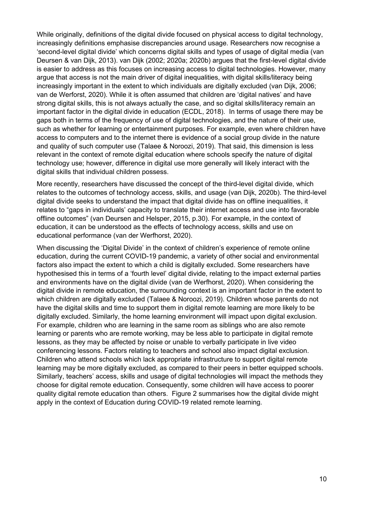While originally, definitions of the digital divide focused on physical access to digital technology, increasingly definitions emphasise discrepancies around usage. Researchers now recognise a 'second-level digital divide' which concerns digital skills and types of usage of digital media (van Deursen & van Dijk, 2013). van Dijk (2002; 2020a; 2020b) argues that the first-level digital divide is easier to address as this focuses on increasing access to digital technologies. However, many argue that access is not the main driver of digital inequalities, with digital skills/literacy being increasingly important in the extent to which individuals are digitally excluded (van Dijk, 2006; van de Werforst, 2020). While it is often assumed that children are 'digital natives' and have strong digital skills, this is not always actually the case, and so digital skills/literacy remain an important factor in the digital divide in education (ECDL, 2018). In terms of usage there may be gaps both in terms of the frequency of use of digital technologies, and the nature of their use, such as whether for learning or entertainment purposes. For example, even where children have access to computers and to the internet there is evidence of a social group divide in the nature and quality of such computer use (Talaee & Noroozi, 2019). That said, this dimension is less relevant in the context of remote digital education where schools specify the nature of digital technology use; however, difference in digital use more generally will likely interact with the digital skills that individual children possess.

More recently, researchers have discussed the concept of the third-level digital divide, which relates to the outcomes of technology access, skills, and usage (van Dijk, 2020b). The third-level digital divide seeks to understand the impact that digital divide has on offline inequalities, it relates to "gaps in individuals' capacity to translate their internet access and use into favorable offline outcomes" (van Deursen and Helsper, 2015, p.30). For example, in the context of education, it can be understood as the effects of technology access, skills and use on educational performance (van der Werfhorst, 2020).

When discussing the 'Digital Divide' in the context of children's experience of remote online education, during the current COVID-19 pandemic, a variety of other social and environmental factors also impact the extent to which a child is digitally excluded. Some researchers have hypothesised this in terms of a 'fourth level' digital divide, relating to the impact external parties and environments have on the digital divide (van de Werfhorst, 2020). When considering the digital divide in remote education, the surrounding context is an important factor in the extent to which children are digitally excluded (Talaee & Noroozi, 2019). Children whose parents do not have the digital skills and time to support them in digital remote learning are more likely to be digitally excluded. Similarly, the home learning environment will impact upon digital exclusion. For example, children who are learning in the same room as siblings who are also remote learning or parents who are remote working, may be less able to participate in digital remote lessons, as they may be affected by noise or unable to verbally participate in live video conferencing lessons. Factors relating to teachers and school also impact digital exclusion. Children who attend schools which lack appropriate infrastructure to support digital remote learning may be more digitally excluded, as compared to their peers in better equipped schools. Similarly, teachers' access, skills and usage of digital technologies will impact the methods they choose for digital remote education. Consequently, some children will have access to poorer quality digital remote education than others. [Figure 2](#page-10-0) summarises how the digital divide might apply in the context of Education during COVID-19 related remote learning.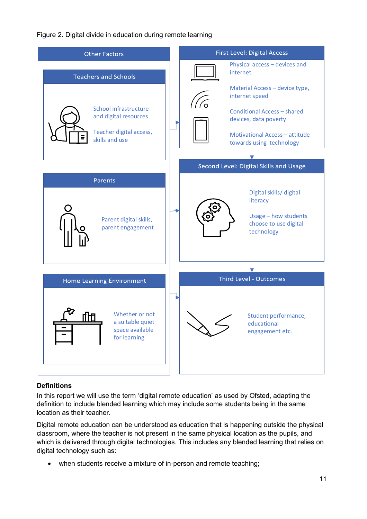<span id="page-10-0"></span>Figure 2. Digital divide in education during remote learning



### **Definitions**

In this report we will use the term 'digital remote education' as used by Ofsted, adapting the definition to include blended learning which may include some students being in the same location as their teacher.

Digital remote education can be understood as education that is happening outside the physical classroom, where the teacher is not present in the same physical location as the pupils, and which is delivered through digital technologies. This includes any blended learning that relies on digital technology such as:

• when students receive a mixture of in-person and remote teaching;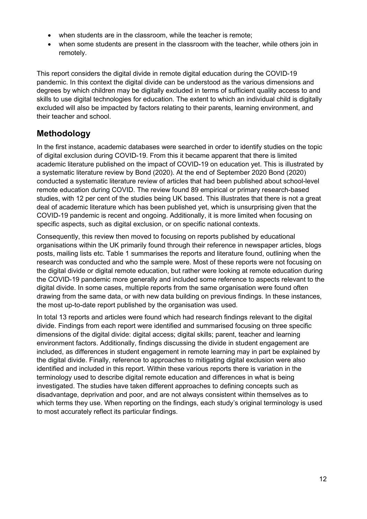- when students are in the classroom, while the teacher is remote;
- when some students are present in the classroom with the teacher, while others join in remotely.

This report considers the digital divide in remote digital education during the COVID-19 pandemic. In this context the digital divide can be understood as the various dimensions and degrees by which children may be digitally excluded in terms of sufficient quality access to and skills to use digital technologies for education. The extent to which an individual child is digitally excluded will also be impacted by factors relating to their parents, learning environment, and their teacher and school.

# **Methodology**

In the first instance, academic databases were searched in order to identify studies on the topic of digital exclusion during COVID-19. From this it became apparent that there is limited academic literature published on the impact of COVID-19 on education yet. This is illustrated by a systematic literature review by Bond (2020). At the end of September 2020 Bond (2020) conducted a systematic literature review of articles that had been published about school-level remote education during COVID. The review found 89 empirical or primary research-based studies, with 12 per cent of the studies being UK based. This illustrates that there is not a great deal of academic literature which has been published yet, which is unsurprising given that the COVID-19 pandemic is recent and ongoing. Additionally, it is more limited when focusing on specific aspects, such as digital exclusion, or on specific national contexts.

Consequently, this review then moved to focusing on reports published by educational organisations within the UK primarily found through their reference in newspaper articles, blogs posts, mailing lists etc. [Table 1](#page-12-0) summarises the reports and literature found, outlining when the research was conducted and who the sample were. Most of these reports were not focusing on the digital divide or digital remote education, but rather were looking at remote education during the COVID-19 pandemic more generally and included some reference to aspects relevant to the digital divide. In some cases, multiple reports from the same organisation were found often drawing from the same data, or with new data building on previous findings. In these instances, the most up-to-date report published by the organisation was used.

In total 13 reports and articles were found which had research findings relevant to the digital divide. Findings from each report were identified and summarised focusing on three specific dimensions of the digital divide: digital access; digital skills; parent, teacher and learning environment factors. Additionally, findings discussing the divide in student engagement are included, as differences in student engagement in remote learning may in part be explained by the digital divide. Finally, reference to approaches to mitigating digital exclusion were also identified and included in this report. Within these various reports there is variation in the terminology used to describe digital remote education and differences in what is being investigated. The studies have taken different approaches to defining concepts such as disadvantage, deprivation and poor, and are not always consistent within themselves as to which terms they use. When reporting on the findings, each study's original terminology is used to most accurately reflect its particular findings.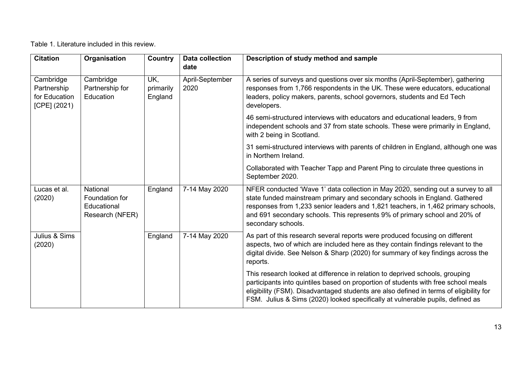Table 1. Literature included in this review.

<span id="page-12-0"></span>

| <b>Citation</b>                                             | Organisation                                                 | Country                     | <b>Data collection</b><br>date | Description of study method and sample                                                                                                                                                                                                                                                                                                                  |
|-------------------------------------------------------------|--------------------------------------------------------------|-----------------------------|--------------------------------|---------------------------------------------------------------------------------------------------------------------------------------------------------------------------------------------------------------------------------------------------------------------------------------------------------------------------------------------------------|
| Cambridge<br>Partnership<br>for Education<br>$[CPE]$ (2021) | Cambridge<br>Partnership for<br>Education                    | UK,<br>primarily<br>England | April-September<br>2020        | A series of surveys and questions over six months (April-September), gathering<br>responses from 1,766 respondents in the UK. These were educators, educational<br>leaders, policy makers, parents, school governors, students and Ed Tech<br>developers.                                                                                               |
|                                                             |                                                              |                             |                                | 46 semi-structured interviews with educators and educational leaders, 9 from<br>independent schools and 37 from state schools. These were primarily in England,<br>with 2 being in Scotland.                                                                                                                                                            |
|                                                             |                                                              |                             |                                | 31 semi-structured interviews with parents of children in England, although one was<br>in Northern Ireland.                                                                                                                                                                                                                                             |
|                                                             |                                                              |                             |                                | Collaborated with Teacher Tapp and Parent Ping to circulate three questions in<br>September 2020.                                                                                                                                                                                                                                                       |
| Lucas et al.<br>(2020)                                      | National<br>Foundation for<br>Educational<br>Research (NFER) | England                     | 7-14 May 2020                  | NFER conducted 'Wave 1' data collection in May 2020, sending out a survey to all<br>state funded mainstream primary and secondary schools in England. Gathered<br>responses from 1,233 senior leaders and 1,821 teachers, in 1,462 primary schools,<br>and 691 secondary schools. This represents 9% of primary school and 20% of<br>secondary schools. |
| Julius & Sims<br>(2020)                                     |                                                              | England                     | 7-14 May 2020                  | As part of this research several reports were produced focusing on different<br>aspects, two of which are included here as they contain findings relevant to the<br>digital divide. See Nelson & Sharp (2020) for summary of key findings across the<br>reports.                                                                                        |
|                                                             |                                                              |                             |                                | This research looked at difference in relation to deprived schools, grouping<br>participants into quintiles based on proportion of students with free school meals<br>eligibility (FSM). Disadvantaged students are also defined in terms of eligibility for<br>FSM. Julius & Sims (2020) looked specifically at vulnerable pupils, defined as          |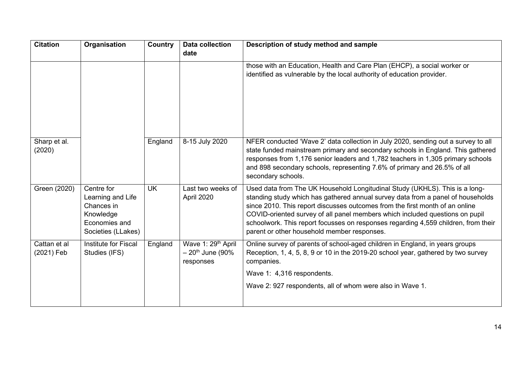| <b>Citation</b>            | Organisation                                                                                      | Country   | <b>Data collection</b><br>date                                                | Description of study method and sample                                                                                                                                                                                                                                                                                                                                                                                                                              |
|----------------------------|---------------------------------------------------------------------------------------------------|-----------|-------------------------------------------------------------------------------|---------------------------------------------------------------------------------------------------------------------------------------------------------------------------------------------------------------------------------------------------------------------------------------------------------------------------------------------------------------------------------------------------------------------------------------------------------------------|
|                            |                                                                                                   |           |                                                                               | those with an Education, Health and Care Plan (EHCP), a social worker or<br>identified as vulnerable by the local authority of education provider.                                                                                                                                                                                                                                                                                                                  |
| Sharp et al.<br>(2020)     |                                                                                                   | England   | 8-15 July 2020                                                                | NFER conducted 'Wave 2' data collection in July 2020, sending out a survey to all<br>state funded mainstream primary and secondary schools in England. This gathered<br>responses from 1,176 senior leaders and 1,782 teachers in 1,305 primary schools<br>and 898 secondary schools, representing 7.6% of primary and 26.5% of all<br>secondary schools.                                                                                                           |
| Green (2020)               | Centre for<br>Learning and Life<br>Chances in<br>Knowledge<br>Economies and<br>Societies (LLakes) | <b>UK</b> | Last two weeks of<br>April 2020                                               | Used data from The UK Household Longitudinal Study (UKHLS). This is a long-<br>standing study which has gathered annual survey data from a panel of households<br>since 2010. This report discusses outcomes from the first month of an online<br>COVID-oriented survey of all panel members which included questions on pupil<br>schoolwork. This report focusses on responses regarding 4,559 children, from their<br>parent or other household member responses. |
| Cattan et al<br>(2021) Feb | Institute for Fiscal<br>Studies (IFS)                                                             | England   | Wave 1: 29 <sup>th</sup> April<br>$-20$ <sup>th</sup> June (90%)<br>responses | Online survey of parents of school-aged children in England, in years groups<br>Reception, 1, 4, 5, 8, 9 or 10 in the 2019-20 school year, gathered by two survey<br>companies.                                                                                                                                                                                                                                                                                     |
|                            |                                                                                                   |           |                                                                               | Wave 1: 4,316 respondents.<br>Wave 2: 927 respondents, all of whom were also in Wave 1.                                                                                                                                                                                                                                                                                                                                                                             |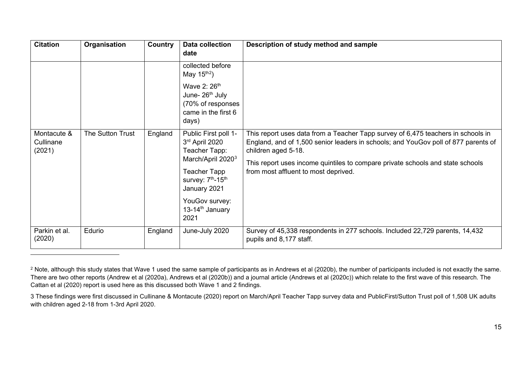<span id="page-14-1"></span><span id="page-14-0"></span>

| <b>Citation</b>                    | Organisation     | <b>Country</b> | Data collection<br>date                                                                                                                                                                                                        | Description of study method and sample                                                                                                                                                                                                                                                                                  |
|------------------------------------|------------------|----------------|--------------------------------------------------------------------------------------------------------------------------------------------------------------------------------------------------------------------------------|-------------------------------------------------------------------------------------------------------------------------------------------------------------------------------------------------------------------------------------------------------------------------------------------------------------------------|
|                                    |                  |                | collected before<br>May $15th2$ )                                                                                                                                                                                              |                                                                                                                                                                                                                                                                                                                         |
|                                    |                  |                | Wave 2: 26 <sup>th</sup><br>June- 26 <sup>th</sup> July<br>(70% of responses<br>came in the first 6<br>days)                                                                                                                   |                                                                                                                                                                                                                                                                                                                         |
| Montacute &<br>Cullinane<br>(2021) | The Sutton Trust | England        | Public First poll 1-<br>3rd April 2020<br>Teacher Tapp:<br>March/April 2020 <sup>3</sup><br>Teacher Tapp<br>survey: 7 <sup>th</sup> -15 <sup>th</sup><br>January 2021<br>YouGov survey:<br>13-14 <sup>th</sup> January<br>2021 | This report uses data from a Teacher Tapp survey of 6,475 teachers in schools in<br>England, and of 1,500 senior leaders in schools; and YouGov poll of 877 parents of<br>children aged 5-18.<br>This report uses income quintiles to compare private schools and state schools<br>from most affluent to most deprived. |
| Parkin et al.<br>(2020)            | Edurio           | England        | June-July 2020                                                                                                                                                                                                                 | Survey of 45,338 respondents in 277 schools. Included 22,729 parents, 14,432<br>pupils and 8,177 staff.                                                                                                                                                                                                                 |

<sup>&</sup>lt;sup>2</sup> Note, although this study states that Wave 1 used the same sample of participants as in Andrews et al (2020b), the number of participants included is not exactly the same. There are two other reports (Andrew et al (2020a), Andrews et al (2020b)) and a journal article (Andrews et al (2020c)) which relate to the first wave of this research. The Cattan et al (2020) report is used here as this discussed both Wave 1 and 2 findings.

<sup>3</sup> These findings were first discussed in Cullinane & Montacute (2020) report on March/April Teacher Tapp survey data and PublicFirst/Sutton Trust poll of 1,508 UK adults with children aged 2-18 from 1-3rd April 2020.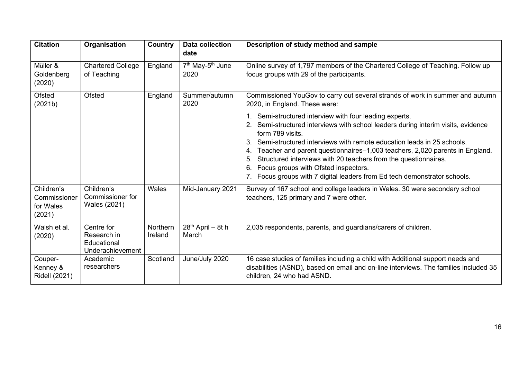| <b>Citation</b>                                   | Organisation                                                 | <b>Country</b>      | <b>Data collection</b><br>date                   | Description of study method and sample                                                                                                                                                                                                                                                                                                                                                                                                                                                                                                                                                                                                                  |
|---------------------------------------------------|--------------------------------------------------------------|---------------------|--------------------------------------------------|---------------------------------------------------------------------------------------------------------------------------------------------------------------------------------------------------------------------------------------------------------------------------------------------------------------------------------------------------------------------------------------------------------------------------------------------------------------------------------------------------------------------------------------------------------------------------------------------------------------------------------------------------------|
| Müller &<br>Goldenberg<br>(2020)                  | <b>Chartered College</b><br>of Teaching                      | England             | 7 <sup>th</sup> May-5 <sup>th</sup> June<br>2020 | Online survey of 1,797 members of the Chartered College of Teaching. Follow up<br>focus groups with 29 of the participants.                                                                                                                                                                                                                                                                                                                                                                                                                                                                                                                             |
| Ofsted<br>(2021b)                                 | <b>Ofsted</b>                                                | England             | Summer/autumn<br>2020                            | Commissioned YouGov to carry out several strands of work in summer and autumn<br>2020, in England. These were:<br>1. Semi-structured interview with four leading experts.<br>Semi-structured interviews with school leaders during interim visits, evidence<br>form 789 visits.<br>Semi-structured interviews with remote education leads in 25 schools.<br>3.<br>Teacher and parent questionnaires-1,003 teachers, 2,020 parents in England.<br>4.<br>Structured interviews with 20 teachers from the questionnaires.<br>5.<br>Focus groups with Ofsted inspectors.<br>6.<br>7. Focus groups with 7 digital leaders from Ed tech demonstrator schools. |
| Children's<br>Commissioner<br>for Wales<br>(2021) | Children's<br>Commissioner for<br>Wales (2021)               | Wales               | Mid-January 2021                                 | Survey of 167 school and college leaders in Wales. 30 were secondary school<br>teachers, 125 primary and 7 were other.                                                                                                                                                                                                                                                                                                                                                                                                                                                                                                                                  |
| Walsh et al.<br>(2020)                            | Centre for<br>Research in<br>Educational<br>Underachievement | Northern<br>Ireland | 28 <sup>th</sup> April - 8t h<br>March           | 2,035 respondents, parents, and guardians/carers of children.                                                                                                                                                                                                                                                                                                                                                                                                                                                                                                                                                                                           |
| Couper-<br>Kenney &<br><b>Ridell (2021)</b>       | Academic<br>researchers                                      | Scotland            | June/July 2020                                   | 16 case studies of families including a child with Additional support needs and<br>disabilities (ASND), based on email and on-line interviews. The families included 35<br>children, 24 who had ASND.                                                                                                                                                                                                                                                                                                                                                                                                                                                   |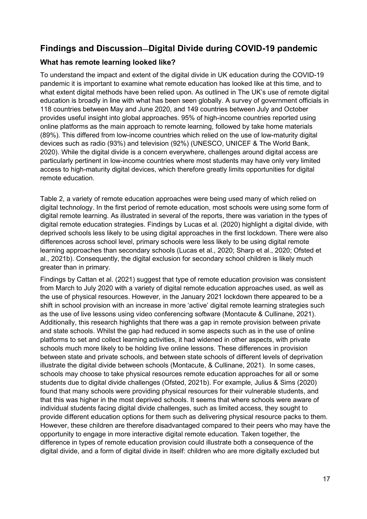# **Findings and Discussion—Digital Divide during COVID-19 pandemic**

### **What has remote learning looked like?**

To understand the impact and extent of the digital divide in UK education during the COVID-19 pandemic it is important to examine what remote education has looked like at this time, and to what extent digital methods have been relied upon. As outlined in The UK's [use of remote digital](#page-17-0)  [education is broadly in line with what has been seen globally. A survey of government officials in](#page-17-0)  [118 countries between May and June 2020, and 149 countries between July and October](#page-17-0)  [provides useful insight into global approaches. 95% of high-income countries reported using](#page-17-0)  [online platforms as the main approach to remote learning, followed by take home materials](#page-17-0)  [\(89%\). This differed from low-income countries which relied on the use of](#page-17-0) low-maturity digital devices such as [radio \(93%\) and television \(92%\) \(UNESCO, UNICEF & The World Bank,](#page-17-0)  2020). While [the digital divide is a concern everywhere, challenges around digital access are](#page-17-0)  [particularly pertinent in low-income countries where most students may have only very limited](#page-17-0)  [access to high-maturity digital devices, which therefore greatly limits opportunities for digital](#page-17-0)  [remote education.](#page-17-0)

[Table 2,](#page-17-0) a variety of remote education approaches were being used many of which relied on digital technology. In the first period of remote education, most schools were using some form of digital remote learning. As illustrated in several of the reports, there was variation in the types of digital remote education strategies. Findings by Lucas et al. (2020) highlight a digital divide, with deprived schools less likely to be using digital approaches in the first lockdown. There were also differences across school level, primary schools were less likely to be using digital remote learning approaches than secondary schools (Lucas et al., 2020; Sharp et al., 2020; Ofsted et al., 2021b). Consequently, the digital exclusion for secondary school children is likely much greater than in primary.

Findings by Cattan et al. (2021) suggest that type of remote education provision was consistent from March to July 2020 with a variety of digital remote education approaches used, as well as the use of physical resources. However, in the January 2021 lockdown there appeared to be a shift in school provision with an increase in more 'active' digital remote learning strategies such as the use of live lessons using video conferencing software (Montacute & Cullinane, 2021). Additionally, this research highlights that there was a gap in remote provision between private and state schools. Whilst the gap had reduced in some aspects such as in the use of online platforms to set and collect learning activities, it had widened in other aspects, with private schools much more likely to be holding live online lessons. These differences in provision between state and private schools, and between state schools of different levels of deprivation illustrate the digital divide between schools (Montacute, & Cullinane, 2021). In some cases, schools may choose to take physical resources remote education approaches for all or some students due to digital divide challenges (Ofsted, 2021b). For example, Julius & Sims (2020) found that many schools were providing physical resources for their vulnerable students, and that this was higher in the most deprived schools. It seems that where schools were aware of individual students facing digital divide challenges, such as limited access, they sought to provide different education options for them such as delivering physical resource packs to them. However, these children are therefore disadvantaged compared to their peers who may have the opportunity to engage in more interactive digital remote education. Taken together, the difference in types of remote education provision could illustrate both a consequence of the digital divide, and a form of digital divide in itself: children who are more digitally excluded but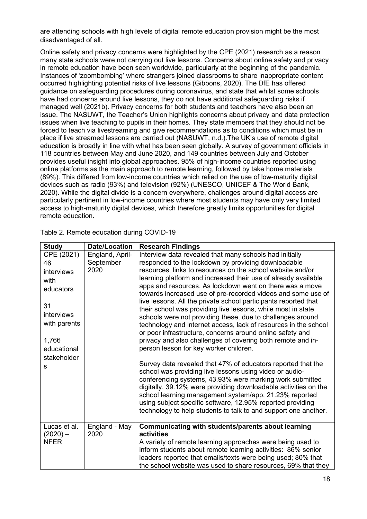are attending schools with high levels of digital remote education provision might be the most disadvantaged of all.

<span id="page-17-0"></span>Online safety and privacy concerns were highlighted by the CPE (2021) research as a reason many state schools were not carrying out live lessons. Concerns about online safety and privacy in remote education have been seen worldwide, particularly at the beginning of the pandemic. Instances of 'zoombombing' where strangers joined classrooms to share inappropriate content occurred highlighting potential risks of live lessons (Gibbons, 2020). The DfE has offered guidance on safeguarding procedures during coronavirus, and state that whilst some schools have had concerns around live lessons, they do not have additional safeguarding risks if managed well (2021b). Privacy concerns for both students and teachers have also been an issue. The NASUWT, the Teacher's Union highlights concerns about privacy and data protection issues when live teaching to pupils in their homes. They state members that they should not be forced to teach via livestreaming and give recommendations as to conditions which must be in place if live streamed lessons are carried out (NASUWT, n.d.).The UK's use of remote digital education is broadly in line with what has been seen globally. A survey of government officials in 118 countries between May and June 2020, and 149 countries between July and October provides useful insight into global approaches. 95% of high-income countries reported using online platforms as the main approach to remote learning, followed by take home materials (89%). This differed from low-income countries which relied on the use of low-maturity digital devices such as radio (93%) and television (92%) (UNESCO, UNICEF & The World Bank, 2020). While the digital divide is a concern everywhere, challenges around digital access are particularly pertinent in low-income countries where most students may have only very limited access to high-maturity digital devices, which therefore greatly limits opportunities for digital remote education.

| <b>Study</b> | <b>Date/Location</b> | <b>Research Findings</b>                                                                                                        |
|--------------|----------------------|---------------------------------------------------------------------------------------------------------------------------------|
| CPE (2021)   | England, April-      | Interview data revealed that many schools had initially                                                                         |
| 46           | September            | responded to the lockdown by providing downloadable                                                                             |
| interviews   | 2020                 | resources, links to resources on the school website and/or                                                                      |
| with         |                      | learning platform and increased their use of already available                                                                  |
| educators    |                      | apps and resources. As lockdown went on there was a move                                                                        |
|              |                      | towards increased use of pre-recorded videos and some use of                                                                    |
| 31           |                      | live lessons. All the private school participants reported that<br>their school was providing live lessons, while most in state |
| interviews   |                      | schools were not providing these, due to challenges around                                                                      |
| with parents |                      | technology and internet access, lack of resources in the school                                                                 |
|              |                      | or poor infrastructure, concerns around online safety and                                                                       |
| 1,766        |                      | privacy and also challenges of covering both remote and in-                                                                     |
| educational  |                      | person lesson for key worker children.                                                                                          |
| stakeholder  |                      |                                                                                                                                 |
| s            |                      | Survey data revealed that 47% of educators reported that the                                                                    |
|              |                      | school was providing live lessons using video or audio-                                                                         |
|              |                      | conferencing systems, 43.93% were marking work submitted<br>digitally, 39.12% were providing downloadable activities on the     |
|              |                      | school learning management system/app, 21.23% reported                                                                          |
|              |                      | using subject specific software, 12.95% reported providing                                                                      |
|              |                      | technology to help students to talk to and support one another.                                                                 |
|              |                      |                                                                                                                                 |
| Lucas et al. | England - May        | Communicating with students/parents about learning                                                                              |
| $(2020) -$   | 2020                 | activities                                                                                                                      |
| <b>NFER</b>  |                      | A variety of remote learning approaches were being used to                                                                      |
|              |                      | inform students about remote learning activities: 86% senior                                                                    |
|              |                      | leaders reported that emails/texts were being used; 80% that                                                                    |
|              |                      | the school website was used to share resources, 69% that they                                                                   |

Table 2. Remote education during COVID-19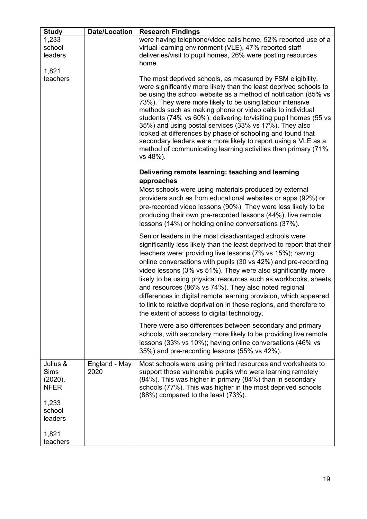| <b>Study</b>                                                                             | <b>Date/Location</b>  | <b>Research Findings</b>                                                                                                                                                                                                                                                                                                                                                                                                                                                                                                                                                                                                                                              |
|------------------------------------------------------------------------------------------|-----------------------|-----------------------------------------------------------------------------------------------------------------------------------------------------------------------------------------------------------------------------------------------------------------------------------------------------------------------------------------------------------------------------------------------------------------------------------------------------------------------------------------------------------------------------------------------------------------------------------------------------------------------------------------------------------------------|
| 1,233<br>school<br>leaders<br>1,821                                                      |                       | were having telephone/video calls home, 52% reported use of a<br>virtual learning environment (VLE), 47% reported staff<br>deliveries/visit to pupil homes, 26% were posting resources<br>home.                                                                                                                                                                                                                                                                                                                                                                                                                                                                       |
| teachers                                                                                 |                       | The most deprived schools, as measured by FSM eligibility,<br>were significantly more likely than the least deprived schools to<br>be using the school website as a method of notification (85% vs<br>73%). They were more likely to be using labour intensive<br>methods such as making phone or video calls to individual<br>students (74% vs 60%); delivering to/visiting pupil homes (55 vs<br>35%) and using postal services (33% vs 17%). They also<br>looked at differences by phase of schooling and found that<br>secondary leaders were more likely to report using a VLE as a<br>method of communicating learning activities than primary (71%<br>vs 48%). |
|                                                                                          |                       | Delivering remote learning: teaching and learning                                                                                                                                                                                                                                                                                                                                                                                                                                                                                                                                                                                                                     |
|                                                                                          |                       | approaches<br>Most schools were using materials produced by external<br>providers such as from educational websites or apps (92%) or<br>pre-recorded video lessons (90%). They were less likely to be<br>producing their own pre-recorded lessons (44%), live remote<br>lessons (14%) or holding online conversations (37%).                                                                                                                                                                                                                                                                                                                                          |
|                                                                                          |                       | Senior leaders in the most disadvantaged schools were<br>significantly less likely than the least deprived to report that their<br>teachers were: providing live lessons (7% vs 15%); having<br>online conversations with pupils (30 vs 42%) and pre-recording<br>video lessons (3% vs 51%). They were also significantly more<br>likely to be using physical resources such as workbooks, sheets<br>and resources (86% vs 74%). They also noted regional<br>differences in digital remote learning provision, which appeared<br>to link to relative deprivation in these regions, and therefore to<br>the extent of access to digital technology.                    |
|                                                                                          |                       | There were also differences between secondary and primary<br>schools, with secondary more likely to be providing live remote<br>lessons (33% vs 10%); having online conversations (46% vs<br>35%) and pre-recording lessons (55% vs 42%).                                                                                                                                                                                                                                                                                                                                                                                                                             |
| Julius &<br><b>Sims</b><br>(2020),<br><b>NFER</b><br>1,233<br>school<br>leaders<br>1,821 | England - May<br>2020 | Most schools were using printed resources and worksheets to<br>support those vulnerable pupils who were learning remotely<br>(84%). This was higher in primary (84%) than in secondary<br>schools (77%). This was higher in the most deprived schools<br>(88%) compared to the least (73%).                                                                                                                                                                                                                                                                                                                                                                           |
| teachers                                                                                 |                       |                                                                                                                                                                                                                                                                                                                                                                                                                                                                                                                                                                                                                                                                       |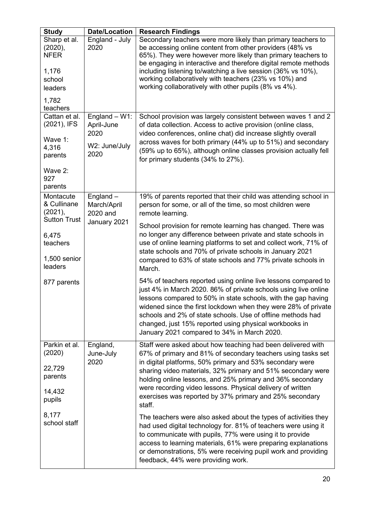| <b>Study</b>                                                                                                              | <b>Date/Location</b>                                            | <b>Research Findings</b>                                                                                                                                                                                                                                                                                                                                                                                                                                                                                                                                                                                                                                                                                                                                                                                                                                                                                                                    |
|---------------------------------------------------------------------------------------------------------------------------|-----------------------------------------------------------------|---------------------------------------------------------------------------------------------------------------------------------------------------------------------------------------------------------------------------------------------------------------------------------------------------------------------------------------------------------------------------------------------------------------------------------------------------------------------------------------------------------------------------------------------------------------------------------------------------------------------------------------------------------------------------------------------------------------------------------------------------------------------------------------------------------------------------------------------------------------------------------------------------------------------------------------------|
| Sharp et al.<br>(2020),<br><b>NFER</b><br>1,176<br>school<br>leaders<br>1,782<br>teachers                                 | England - July<br>2020                                          | Secondary teachers were more likely than primary teachers to<br>be accessing online content from other providers (48% vs<br>65%). They were however more likely than primary teachers to<br>be engaging in interactive and therefore digital remote methods<br>including listening to/watching a live session (36% vs 10%),<br>working collaboratively with teachers (23% vs 10%) and<br>working collaboratively with other pupils (8% vs 4%).                                                                                                                                                                                                                                                                                                                                                                                                                                                                                              |
| Cattan et al.<br>(2021), IFS<br>Wave 1:<br>4,316<br>parents<br>Wave 2:<br>927<br>parents                                  | England $- W1$ :<br>April-June<br>2020<br>W2: June/July<br>2020 | School provision was largely consistent between waves 1 and 2<br>of data collection. Access to active provision (online class,<br>video conferences, online chat) did increase slightly overall<br>across waves for both primary (44% up to 51%) and secondary<br>(59% up to 65%), although online classes provision actually fell<br>for primary students (34% to 27%).                                                                                                                                                                                                                                                                                                                                                                                                                                                                                                                                                                    |
| Montacute<br>& Cullinane<br>(2021),<br><b>Sutton Trust</b><br>6,475<br>teachers<br>1,500 senior<br>leaders<br>877 parents | England $-$<br>March/April<br>2020 and<br>January 2021          | 19% of parents reported that their child was attending school in<br>person for some, or all of the time, so most children were<br>remote learning.<br>School provision for remote learning has changed. There was<br>no longer any difference between private and state schools in<br>use of online learning platforms to set and collect work, 71% of<br>state schools and 70% of private schools in January 2021<br>compared to 63% of state schools and 77% private schools in<br>March.<br>54% of teachers reported using online live lessons compared to<br>just 4% in March 2020. 86% of private schools using live online<br>lessons compared to 50% in state schools, with the gap having<br>widened since the first lockdown when they were 28% of private<br>schools and 2% of state schools. Use of offline methods had<br>changed, just 15% reported using physical workbooks in<br>January 2021 compared to 34% in March 2020. |
| Parkin et al.<br>(2020)<br>22,729<br>parents<br>14,432<br>pupils<br>8,177<br>school staff                                 | England,<br>June-July<br>2020                                   | Staff were asked about how teaching had been delivered with<br>67% of primary and 81% of secondary teachers using tasks set<br>in digital platforms, 50% primary and 53% secondary were<br>sharing video materials, 32% primary and 51% secondary were<br>holding online lessons, and 25% primary and 36% secondary<br>were recording video lessons. Physical delivery of written<br>exercises was reported by 37% primary and 25% secondary<br>staff.<br>The teachers were also asked about the types of activities they<br>had used digital technology for. 81% of teachers were using it<br>to communicate with pupils, 77% were using it to provide<br>access to learning materials, 61% were preparing explanations<br>or demonstrations, 5% were receiving pupil work and providing<br>feedback, 44% were providing work.                                                                                                             |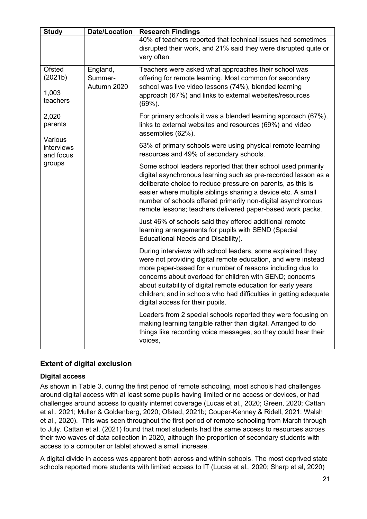| <b>Study</b>                           | <b>Date/Location</b>               | <b>Research Findings</b>                                                                                                                                                                                                                                                                                                                                                                                                       |
|----------------------------------------|------------------------------------|--------------------------------------------------------------------------------------------------------------------------------------------------------------------------------------------------------------------------------------------------------------------------------------------------------------------------------------------------------------------------------------------------------------------------------|
|                                        |                                    | 40% of teachers reported that technical issues had sometimes<br>disrupted their work, and 21% said they were disrupted quite or<br>very often.                                                                                                                                                                                                                                                                                 |
| Ofsted<br>(2021b)<br>1,003<br>teachers | England,<br>Summer-<br>Autumn 2020 | Teachers were asked what approaches their school was<br>offering for remote learning. Most common for secondary<br>school was live video lessons (74%), blended learning<br>approach (67%) and links to external websites/resources<br>(69%).                                                                                                                                                                                  |
| 2,020<br>parents                       |                                    | For primary schools it was a blended learning approach (67%),<br>links to external websites and resources (69%) and video<br>assemblies (62%).                                                                                                                                                                                                                                                                                 |
| Various<br>interviews<br>and focus     |                                    | 63% of primary schools were using physical remote learning<br>resources and 49% of secondary schools.                                                                                                                                                                                                                                                                                                                          |
| groups                                 |                                    | Some school leaders reported that their school used primarily<br>digital asynchronous learning such as pre-recorded lesson as a<br>deliberate choice to reduce pressure on parents, as this is<br>easier where multiple siblings sharing a device etc. A small<br>number of schools offered primarily non-digital asynchronous<br>remote lessons; teachers delivered paper-based work packs.                                   |
|                                        |                                    | Just 46% of schools said they offered additional remote<br>learning arrangements for pupils with SEND (Special<br>Educational Needs and Disability).                                                                                                                                                                                                                                                                           |
|                                        |                                    | During interviews with school leaders, some explained they<br>were not providing digital remote education, and were instead<br>more paper-based for a number of reasons including due to<br>concerns about overload for children with SEND; concerns<br>about suitability of digital remote education for early years<br>children; and in schools who had difficulties in getting adequate<br>digital access for their pupils. |
|                                        |                                    | Leaders from 2 special schools reported they were focusing on<br>making learning tangible rather than digital. Arranged to do<br>things like recording voice messages, so they could hear their<br>voices,                                                                                                                                                                                                                     |

### **Extent of digital exclusion**

#### **Digital access**

As shown in [Table 3,](#page-21-0) during the first period of remote schooling, most schools had challenges around digital access with at least some pupils having limited or no access or devices, or had challenges around access to quality internet coverage (Lucas et al., 2020; Green, 2020; Cattan et al., 2021; Müller & Goldenberg, 2020; Ofsted, 2021b; Couper-Kenney & Ridell, 2021; Walsh et al., 2020). This was seen throughout the first period of remote schooling from March through to July. Cattan et al. (2021) found that most students had the same access to resources across their two waves of data collection in 2020, although the proportion of secondary students with access to a computer or tablet showed a small increase.

A digital divide in access was apparent both across and within schools. The most deprived state schools reported more students with limited access to IT (Lucas et al., 2020; Sharp et al, 2020)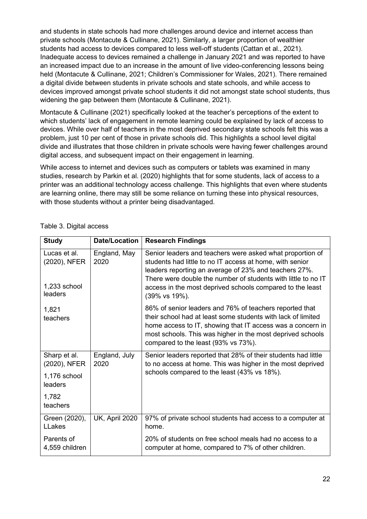and students in state schools had more challenges around device and internet access than private schools (Montacute & Cullinane, 2021). Similarly, a larger proportion of wealthier students had access to devices compared to less well-off students (Cattan et al., 2021). Inadequate access to devices remained a challenge in January 2021 and was reported to have an increased impact due to an increase in the amount of live video-conferencing lessons being held (Montacute & Cullinane, 2021; Children's Commissioner for Wales, 2021). There remained a digital divide between students in private schools and state schools, and while access to devices improved amongst private school students it did not amongst state school students, thus widening the gap between them (Montacute & Cullinane, 2021).

Montacute & Cullinane (2021) specifically looked at the teacher's perceptions of the extent to which students' lack of engagement in remote learning could be explained by lack of access to devices. While over half of teachers in the most deprived secondary state schools felt this was a problem, just 10 per cent of those in private schools did. This highlights a school level digital divide and illustrates that those children in private schools were having fewer challenges around digital access, and subsequent impact on their engagement in learning.

While access to internet and devices such as computers or tablets was examined in many studies, research by Parkin et al. (2020) highlights that for some students, lack of access to a printer was an additional technology access challenge. This highlights that even where students are learning online, there may still be some reliance on turning these into physical resources, with those students without a printer being disadvantaged.

| <b>Study</b>                                            | <b>Date/Location</b>  | <b>Research Findings</b>                                                                                                                                                                                                                                                                                                      |
|---------------------------------------------------------|-----------------------|-------------------------------------------------------------------------------------------------------------------------------------------------------------------------------------------------------------------------------------------------------------------------------------------------------------------------------|
| Lucas et al.<br>(2020), NFER<br>1,233 school<br>leaders | England, May<br>2020  | Senior leaders and teachers were asked what proportion of<br>students had little to no IT access at home, with senior<br>leaders reporting an average of 23% and teachers 27%.<br>There were double the number of students with little to no IT<br>access in the most deprived schools compared to the least<br>(39% vs 19%). |
| 1,821<br>teachers                                       |                       | 86% of senior leaders and 76% of teachers reported that<br>their school had at least some students with lack of limited<br>home access to IT, showing that IT access was a concern in<br>most schools. This was higher in the most deprived schools<br>compared to the least (93% vs 73%).                                    |
| Sharp et al.<br>(2020), NFER<br>1,176 school<br>leaders | England, July<br>2020 | Senior leaders reported that 28% of their students had little<br>to no access at home. This was higher in the most deprived<br>schools compared to the least (43% vs 18%).                                                                                                                                                    |
| 1,782<br>teachers                                       |                       |                                                                                                                                                                                                                                                                                                                               |
| Green (2020),<br><b>LLakes</b>                          | <b>UK, April 2020</b> | 97% of private school students had access to a computer at<br>home.                                                                                                                                                                                                                                                           |
| Parents of<br>4,559 children                            |                       | 20% of students on free school meals had no access to a<br>computer at home, compared to 7% of other children.                                                                                                                                                                                                                |

<span id="page-21-0"></span>Table 3. Digital access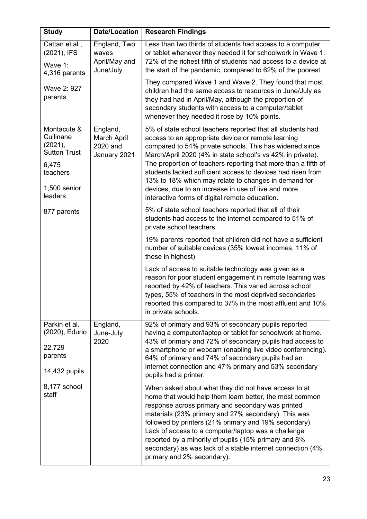| <b>Study</b>                                                                                               | <b>Date/Location</b>                                | <b>Research Findings</b>                                                                                                                                                                                                                                                                                                                                                                                                                                                                                                                    |
|------------------------------------------------------------------------------------------------------------|-----------------------------------------------------|---------------------------------------------------------------------------------------------------------------------------------------------------------------------------------------------------------------------------------------------------------------------------------------------------------------------------------------------------------------------------------------------------------------------------------------------------------------------------------------------------------------------------------------------|
| Cattan et al.,<br>(2021), IFS<br>Wave 1:<br>4,316 parents                                                  | England, Two<br>waves<br>April/May and<br>June/July | Less than two thirds of students had access to a computer<br>or tablet whenever they needed it for schoolwork in Wave 1.<br>72% of the richest fifth of students had access to a device at<br>the start of the pandemic, compared to 62% of the poorest.                                                                                                                                                                                                                                                                                    |
| Wave 2: 927<br>parents                                                                                     |                                                     | They compared Wave 1 and Wave 2. They found that most<br>children had the same access to resources in June/July as<br>they had had in April/May, although the proportion of<br>secondary students with access to a computer/tablet<br>whenever they needed it rose by 10% points.                                                                                                                                                                                                                                                           |
| Montacute &<br>Cullinane<br>(2021),<br><b>Sutton Trust</b><br>6,475<br>teachers<br>1,500 senior<br>leaders | England,<br>March April<br>2020 and<br>January 2021 | 5% of state school teachers reported that all students had<br>access to an appropriate device or remote learning<br>compared to 54% private schools. This has widened since<br>March/April 2020 (4% in state school's vs 42% in private).<br>The proportion of teachers reporting that more than a fifth of<br>students lacked sufficient access to devices had risen from<br>13% to 18% which may relate to changes in demand for<br>devices, due to an increase in use of live and more<br>interactive forms of digital remote education. |
| 877 parents                                                                                                |                                                     | 5% of state school teachers reported that all of their<br>students had access to the internet compared to 51% of<br>private school teachers.                                                                                                                                                                                                                                                                                                                                                                                                |
|                                                                                                            |                                                     | 19% parents reported that children did not have a sufficient<br>number of suitable devices (35% lowest incomes, 11% of<br>those in highest)                                                                                                                                                                                                                                                                                                                                                                                                 |
|                                                                                                            |                                                     | Lack of access to suitable technology was given as a<br>reason for poor student engagement in remote learning was<br>reported by 42% of teachers. This varied across school<br>types, 55% of teachers in the most deprived secondaries<br>reported this compared to 37% in the most affluent and 10%<br>in private schools.                                                                                                                                                                                                                 |
| Parkin et al.<br>(2020), Edurio<br>22,729<br>parents<br>14,432 pupils                                      | England,<br>June-July<br>2020                       | 92% of primary and 93% of secondary pupils reported<br>having a computer/laptop or tablet for schoolwork at home.<br>43% of primary and 72% of secondary pupils had access to<br>a smartphone or webcam (enabling live video conferencing).<br>64% of primary and 74% of secondary pupils had an<br>internet connection and 47% primary and 53% secondary<br>pupils had a printer.                                                                                                                                                          |
| 8,177 school<br>staff                                                                                      |                                                     | When asked about what they did not have access to at<br>home that would help them learn better, the most common<br>response across primary and secondary was printed<br>materials (23% primary and 27% secondary). This was<br>followed by printers (21% primary and 19% secondary).<br>Lack of access to a computer/laptop was a challenge<br>reported by a minority of pupils (15% primary and 8%<br>secondary) as was lack of a stable internet connection (4%<br>primary and 2% secondary).                                             |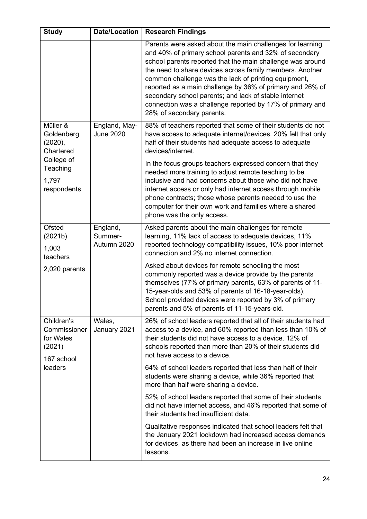| <b>Study</b>                                                                                     | <b>Date/Location</b>               | <b>Research Findings</b>                                                                                                                                                                                                                                                                                                                                                                                                                                                                                                                                                                                   |
|--------------------------------------------------------------------------------------------------|------------------------------------|------------------------------------------------------------------------------------------------------------------------------------------------------------------------------------------------------------------------------------------------------------------------------------------------------------------------------------------------------------------------------------------------------------------------------------------------------------------------------------------------------------------------------------------------------------------------------------------------------------|
|                                                                                                  |                                    | Parents were asked about the main challenges for learning<br>and 40% of primary school parents and 32% of secondary<br>school parents reported that the main challenge was around<br>the need to share devices across family members. Another<br>common challenge was the lack of printing equipment,<br>reported as a main challenge by 36% of primary and 26% of<br>secondary school parents; and lack of stable internet<br>connection was a challenge reported by 17% of primary and<br>28% of secondary parents.                                                                                      |
| Müller &<br>Goldenberg<br>(2020),<br>Chartered<br>College of<br>Teaching<br>1,797<br>respondents | England, May-<br><b>June 2020</b>  | 88% of teachers reported that some of their students do not<br>have access to adequate internet/devices. 20% felt that only<br>half of their students had adequate access to adequate<br>devices/internet.<br>In the focus groups teachers expressed concern that they<br>needed more training to adjust remote teaching to be<br>inclusive and had concerns about those who did not have<br>internet access or only had internet access through mobile<br>phone contracts; those whose parents needed to use the<br>computer for their own work and families where a shared<br>phone was the only access. |
| <b>Ofsted</b><br>(2021b)<br>1,003<br>teachers                                                    | England,<br>Summer-<br>Autumn 2020 | Asked parents about the main challenges for remote<br>learning, 11% lack of access to adequate devices, 11%<br>reported technology compatibility issues, 10% poor internet<br>connection and 2% no internet connection.                                                                                                                                                                                                                                                                                                                                                                                    |
| 2,020 parents                                                                                    |                                    | Asked about devices for remote schooling the most<br>commonly reported was a device provide by the parents<br>themselves (77% of primary parents, 63% of parents of 11-<br>15-year-olds and 53% of parents of 16-18-year-olds).<br>School provided devices were reported by 3% of primary<br>parents and 5% of parents of 11-15-years-old.                                                                                                                                                                                                                                                                 |
| Children's<br>Commissioner<br>for Wales<br>(2021)<br>167 school                                  | Wales,<br>January 2021             | 26% of school leaders reported that all of their students had<br>access to a device, and 60% reported than less than 10% of<br>their students did not have access to a device. 12% of<br>schools reported than more than 20% of their students did<br>not have access to a device.                                                                                                                                                                                                                                                                                                                         |
| leaders                                                                                          |                                    | 64% of school leaders reported that less than half of their<br>students were sharing a device, while 36% reported that<br>more than half were sharing a device.                                                                                                                                                                                                                                                                                                                                                                                                                                            |
|                                                                                                  |                                    | 52% of school leaders reported that some of their students<br>did not have internet access, and 46% reported that some of<br>their students had insufficient data.                                                                                                                                                                                                                                                                                                                                                                                                                                         |
|                                                                                                  |                                    | Qualitative responses indicated that school leaders felt that<br>the January 2021 lockdown had increased access demands<br>for devices, as there had been an increase in live online<br>lessons.                                                                                                                                                                                                                                                                                                                                                                                                           |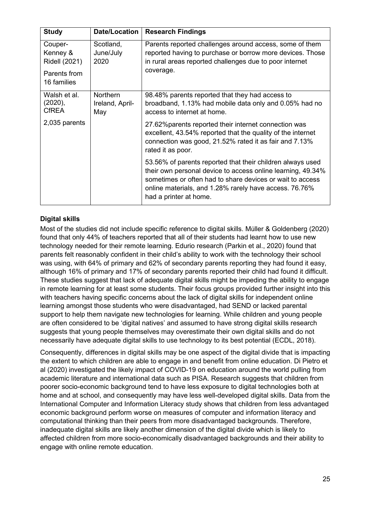| <b>Study</b>                                                               | <b>Date/Location</b>                      | <b>Research Findings</b>                                                                                                                                                                                                                                                   |
|----------------------------------------------------------------------------|-------------------------------------------|----------------------------------------------------------------------------------------------------------------------------------------------------------------------------------------------------------------------------------------------------------------------------|
| Couper-<br>Kenney &<br><b>Ridell (2021)</b><br>Parents from<br>16 families | Scotland,<br>June/July<br>2020            | Parents reported challenges around access, some of them<br>reported having to purchase or borrow more devices. Those<br>in rural areas reported challenges due to poor internet<br>coverage.                                                                               |
| Walsh et al.<br>(2020),<br><b>CfREA</b>                                    | <b>Northern</b><br>Ireland, April-<br>May | 98.48% parents reported that they had access to<br>broadband, 1.13% had mobile data only and 0.05% had no<br>access to internet at home.                                                                                                                                   |
| 2,035 parents                                                              |                                           | 27.62% parents reported their internet connection was<br>excellent, 43.54% reported that the quality of the internet<br>connection was good, 21.52% rated it as fair and 7.13%<br>rated it as poor.                                                                        |
|                                                                            |                                           | 53.56% of parents reported that their children always used<br>their own personal device to access online learning, 49.34%<br>sometimes or often had to share devices or wait to access<br>online materials, and 1.28% rarely have access. 76.76%<br>had a printer at home. |

### **Digital skills**

Most of the studies did not include specific reference to digital skills. Müller & Goldenberg (2020) found that only 44% of teachers reported that all of their students had learnt how to use new technology needed for their remote learning. Edurio research (Parkin et al., 2020) found that parents felt reasonably confident in their child's ability to work with the technology their school was using, with 64% of primary and 62% of secondary parents reporting they had found it easy, although 16% of primary and 17% of secondary parents reported their child had found it difficult. These studies suggest that lack of adequate digital skills might be impeding the ability to engage in remote learning for at least some students. Their focus groups provided further insight into this with teachers having specific concerns about the lack of digital skills for independent online learning amongst those students who were disadvantaged, had SEND or lacked parental support to help them navigate new technologies for learning. While children and young people are often considered to be 'digital natives' and assumed to have strong digital skills research suggests that young people themselves may overestimate their own digital skills and do not necessarily have adequate digital skills to use technology to its best potential (ECDL, 2018).

Consequently, differences in digital skills may be one aspect of the digital divide that is impacting the extent to which children are able to engage in and benefit from online education. Di Pietro et al (2020) investigated the likely impact of COVID-19 on education around the world pulling from academic literature and international data such as PISA. Research suggests that children from poorer socio-economic background tend to have less exposure to digital technologies both at home and at school, and consequently may have less well-developed digital skills. Data from the International Computer and Information Literacy study shows that children from less advantaged economic background perform worse on measures of computer and information literacy and computational thinking than their peers from more disadvantaged backgrounds. Therefore, inadequate digital skills are likely another dimension of the digital divide which is likely to affected children from more socio-economically disadvantaged backgrounds and their ability to engage with online remote education.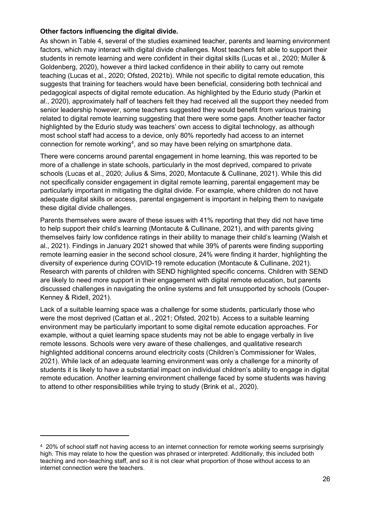#### **Other factors influencing the digital divide.**

As shown in [Table 4,](#page-26-0) several of the studies examined teacher, parents and learning environment factors, which may interact with digital divide challenges. Most teachers felt able to support their students in remote learning and were confident in their digital skills (Lucas et al., 2020; Müller & Goldenberg, 2020), however a third lacked confidence in their ability to carry out remote teaching (Lucas et al., 2020; Ofsted, 2021b). While not specific to digital remote education, this suggests that training for teachers would have been beneficial, considering both technical and pedagogical aspects of digital remote education. As highlighted by the Edurio study (Parkin et al., 2020), approximately half of teachers felt they had received all the support they needed from senior leadership however, some teachers suggested they would benefit from various training related to digital remote learning suggesting that there were some gaps. Another teacher factor highlighted by the Edurio study was teachers' own access to digital technology, as although most school staff had access to a device, only 80% reportedly had access to an internet connection for remote working $^4$  $^4$ , and so may have been relying on smartphone data.

There were concerns around parental engagement in home learning, this was reported to be more of a challenge in state schools, particularly in the most deprived, compared to private schools (Lucas et al., 2020; Julius & Sims, 2020, Montacute & Cullinane, 2021). While this did not specifically consider engagement in digital remote learning, parental engagement may be particularly important in mitigating the digital divide. For example, where children do not have adequate digital skills or access, parental engagement is important in helping them to navigate these digital divide challenges.

Parents themselves were aware of these issues with 41% reporting that they did not have time to help support their child's learning (Montacute & Cullinane, 2021), and with parents giving themselves fairly low confidence ratings in their ability to manage their child's learning (Walsh et al., 2021). Findings in January 2021 showed that while 39% of parents were finding supporting remote learning easier in the second school closure, 24% were finding it harder, highlighting the diversity of experience during COVID-19 remote education (Montacute & Cullinane, 2021). Research with parents of children with SEND highlighted specific concerns. Children with SEND are likely to need more support in their engagement with digital remote education, but parents discussed challenges in navigating the online systems and felt unsupported by schools (Couper-Kenney & Ridell, 2021).

Lack of a suitable learning space was a challenge for some students, particularly those who were the most deprived (Cattan et al., 2021; Ofsted, 2021b). Access to a suitable learning environment may be particularly important to some digital remote education approaches. For example, without a quiet learning space students may not be able to engage verbally in live remote lessons. Schools were very aware of these challenges, and qualitative research highlighted additional concerns around electricity costs (Children's Commissioner for Wales, 2021). While lack of an adequate learning environment was only a challenge for a minority of students it is likely to have a substantial impact on individual children's ability to engage in digital remote education. Another learning environment challenge faced by some students was having to attend to other responsibilities while trying to study (Brink et al., 2020).

<span id="page-25-0"></span><sup>4</sup> 20% of school staff not having access to an internet connection for remote working seems surprisingly high. This may relate to how the question was phrased or interpreted. Additionally, this included both teaching and non-teaching staff, and so it is not clear what proportion of those without access to an internet connection were the teachers.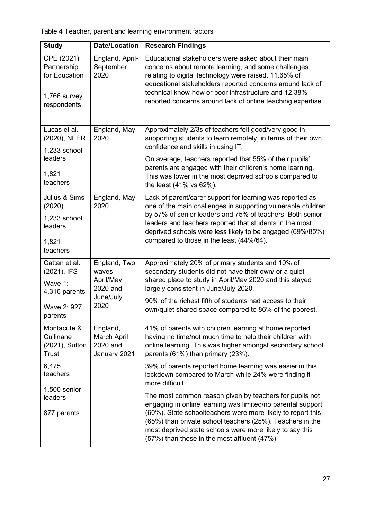<span id="page-26-0"></span>Table 4 Teacher, parent and learning environment factors

| <b>Study</b>                                                                                                              | <b>Date/Location</b>                                                | <b>Research Findings</b>                                                                                                                                                                                                                                                                                                                                                                                                                                                                                                                                                                                                                                                                                                      |
|---------------------------------------------------------------------------------------------------------------------------|---------------------------------------------------------------------|-------------------------------------------------------------------------------------------------------------------------------------------------------------------------------------------------------------------------------------------------------------------------------------------------------------------------------------------------------------------------------------------------------------------------------------------------------------------------------------------------------------------------------------------------------------------------------------------------------------------------------------------------------------------------------------------------------------------------------|
| CPE (2021)<br>Partnership<br>for Education<br>$1,766$ survey<br>respondents                                               | England, April-<br>September<br>2020                                | Educational stakeholders were asked about their main<br>concerns about remote learning, and some challenges<br>relating to digital technology were raised. 11.65% of<br>educational stakeholders reported concerns around lack of<br>technical know-how or poor infrastructure and 12.38%<br>reported concerns around lack of online teaching expertise.                                                                                                                                                                                                                                                                                                                                                                      |
| Lucas et al.<br>(2020), NFER<br>1,233 school<br>leaders<br>1,821<br>teachers                                              | England, May<br>2020                                                | Approximately 2/3s of teachers felt good/very good in<br>supporting students to learn remotely, in terms of their own<br>confidence and skills in using IT.<br>On average, teachers reported that 55% of their pupils'<br>parents are engaged with their children's home learning.<br>This was lower in the most deprived schools compared to<br>the least (41% vs 62%).                                                                                                                                                                                                                                                                                                                                                      |
| Julius & Sims<br>(2020)<br>1,233 school<br>leaders<br>1,821<br>teachers                                                   | England, May<br>2020                                                | Lack of parent/carer support for learning was reported as<br>one of the main challenges in supporting vulnerable children<br>by 57% of senior leaders and 75% of teachers. Both senior<br>leaders and teachers reported that students in the most<br>deprived schools were less likely to be engaged (69%/85%)<br>compared to those in the least (44%/64).                                                                                                                                                                                                                                                                                                                                                                    |
| Cattan et al.<br>(2021), IFS<br>Wave 1:<br>4,316 parents<br>Wave 2: 927<br>parents                                        | England, Two<br>waves<br>April/May<br>2020 and<br>June/July<br>2020 | Approximately 20% of primary students and 10% of<br>secondary students did not have their own/ or a quiet<br>shared place to study in April/May 2020 and this stayed<br>largely consistent in June/July 2020.<br>90% of the richest fifth of students had access to their<br>own/quiet shared space compared to 86% of the poorest.                                                                                                                                                                                                                                                                                                                                                                                           |
| Montacute &<br>Cullinane<br>(2021), Sutton<br><b>Trust</b><br>6,475<br>teachers<br>1,500 senior<br>leaders<br>877 parents | England,<br>March April<br>2020 and<br>January 2021                 | 41% of parents with children learning at home reported<br>having no time/not much time to help their children with<br>online learning. This was higher amongst secondary school<br>parents (61%) than primary (23%).<br>39% of parents reported home learning was easier in this<br>lockdown compared to March while 24% were finding it<br>more difficult.<br>The most common reason given by teachers for pupils not<br>engaging in online learning was limited/no parental support<br>(60%). State schoolteachers were more likely to report this<br>(65%) than private school teachers (25%). Teachers in the<br>most deprived state schools were more likely to say this<br>(57%) than those in the most affluent (47%). |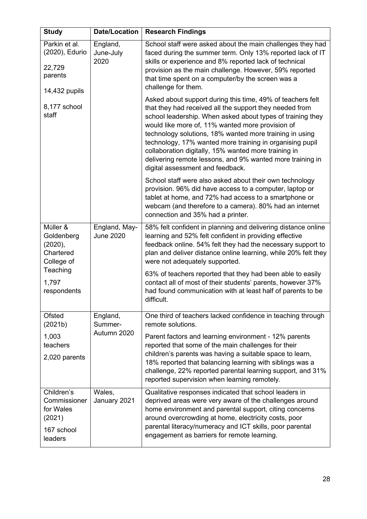| <b>Study</b>                                                               | <b>Date/Location</b>               | <b>Research Findings</b>                                                                                                                                                                                                                                                                                                                                                                                                                                                                                                |
|----------------------------------------------------------------------------|------------------------------------|-------------------------------------------------------------------------------------------------------------------------------------------------------------------------------------------------------------------------------------------------------------------------------------------------------------------------------------------------------------------------------------------------------------------------------------------------------------------------------------------------------------------------|
| Parkin et al.<br>(2020), Edurio<br>22,729<br>parents<br>14,432 pupils      | England,<br>June-July<br>2020      | School staff were asked about the main challenges they had<br>faced during the summer term. Only 13% reported lack of IT<br>skills or experience and 8% reported lack of technical<br>provision as the main challenge. However, 59% reported<br>that time spent on a computer/by the screen was a<br>challenge for them.                                                                                                                                                                                                |
| 8,177 school<br>staff                                                      |                                    | Asked about support during this time, 49% of teachers felt<br>that they had received all the support they needed from<br>school leadership. When asked about types of training they<br>would like more of, 11% wanted more provision of<br>technology solutions, 18% wanted more training in using<br>technology, 17% wanted more training in organising pupil<br>collaboration digitally, 15% wanted more training in<br>delivering remote lessons, and 9% wanted more training in<br>digital assessment and feedback. |
|                                                                            |                                    | School staff were also asked about their own technology<br>provision. 96% did have access to a computer, laptop or<br>tablet at home, and 72% had access to a smartphone or<br>webcam (and therefore to a camera). 80% had an internet<br>connection and 35% had a printer.                                                                                                                                                                                                                                             |
| Müller &<br>Goldenberg<br>(2020),<br>Chartered<br>College of               | England, May-<br><b>June 2020</b>  | 58% felt confident in planning and delivering distance online<br>learning and 52% felt confident in providing effective<br>feedback online. 54% felt they had the necessary support to<br>plan and deliver distance online learning, while 20% felt they<br>were not adequately supported.                                                                                                                                                                                                                              |
| Teaching<br>1,797<br>respondents                                           |                                    | 63% of teachers reported that they had been able to easily<br>contact all of most of their students' parents, however 37%<br>had found communication with at least half of parents to be<br>difficult.                                                                                                                                                                                                                                                                                                                  |
| Ofsted<br>(2021b)                                                          | England,<br>Summer-<br>Autumn 2020 | One third of teachers lacked confidence in teaching through<br>remote solutions.                                                                                                                                                                                                                                                                                                                                                                                                                                        |
| 1,003<br>teachers<br>2,020 parents                                         |                                    | Parent factors and learning environment - 12% parents<br>reported that some of the main challenges for their<br>children's parents was having a suitable space to learn,<br>18% reported that balancing learning with siblings was a<br>challenge, 22% reported parental learning support, and 31%<br>reported supervision when learning remotely.                                                                                                                                                                      |
| Children's<br>Commissioner<br>for Wales<br>(2021)<br>167 school<br>leaders | Wales,<br>January 2021             | Qualitative responses indicated that school leaders in<br>deprived areas were very aware of the challenges around<br>home environment and parental support, citing concerns<br>around overcrowding at home, electricity costs, poor<br>parental literacy/numeracy and ICT skills, poor parental<br>engagement as barriers for remote learning.                                                                                                                                                                          |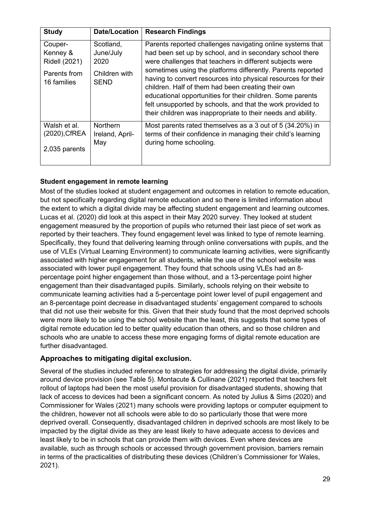| <b>Study</b>                                   | Date/Location                             | <b>Research Findings</b>                                                                                                                                                                                                                                                                                                                                                       |
|------------------------------------------------|-------------------------------------------|--------------------------------------------------------------------------------------------------------------------------------------------------------------------------------------------------------------------------------------------------------------------------------------------------------------------------------------------------------------------------------|
| Couper-                                        | Scotland,                                 | Parents reported challenges navigating online systems that                                                                                                                                                                                                                                                                                                                     |
| Kenney &                                       | June/July                                 | had been set up by school, and in secondary school there                                                                                                                                                                                                                                                                                                                       |
| <b>Ridell (2021)</b>                           | 2020                                      | were challenges that teachers in different subjects were                                                                                                                                                                                                                                                                                                                       |
| Parents from<br>16 families                    | Children with<br><b>SEND</b>              | sometimes using the platforms differently. Parents reported<br>having to convert resources into physical resources for their<br>children. Half of them had been creating their own<br>educational opportunities for their children. Some parents<br>felt unsupported by schools, and that the work provided to<br>their children was inappropriate to their needs and ability. |
| Walsh et al.<br>(2020), CfREA<br>2,035 parents | <b>Northern</b><br>Ireland, April-<br>May | Most parents rated themselves as a 3 out of 5 (34.20%) in<br>terms of their confidence in managing their child's learning<br>during home schooling.                                                                                                                                                                                                                            |

### **Student engagement in remote learning**

Most of the studies looked at student engagement and outcomes in relation to remote education, but not specifically regarding digital remote education and so there is limited information about the extent to which a digital divide may be affecting student engagement and learning outcomes. Lucas et al. (2020) did look at this aspect in their May 2020 survey. They looked at student engagement measured by the proportion of pupils who returned their last piece of set work as reported by their teachers. They found engagement level was linked to type of remote learning. Specifically, they found that delivering learning through online conversations with pupils, and the use of VLEs (Virtual Learning Environment) to communicate learning activities, were significantly associated with higher engagement for all students, while the use of the school website was associated with lower pupil engagement. They found that schools using VLEs had an 8 percentage point higher engagement than those without, and a 13-percentage point higher engagement than their disadvantaged pupils. Similarly, schools relying on their website to communicate learning activities had a 5-percentage point lower level of pupil engagement and an 8-percentage point decrease in disadvantaged students' engagement compared to schools that did not use their website for this. Given that their study found that the most deprived schools were more likely to be using the school website than the least, this suggests that some types of digital remote education led to better quality education than others, and so those children and schools who are unable to access these more engaging forms of digital remote education are further disadvantaged.

### **Approaches to mitigating digital exclusion.**

Several of the studies included reference to strategies for addressing the digital divide, primarily around device provision (see [Table 5\)](#page-29-0). Montacute & Cullinane (2021) reported that teachers felt rollout of laptops had been the most useful provision for disadvantaged students, showing that lack of access to devices had been a significant concern. As noted by Julius & Sims (2020) and Commissioner for Wales (2021) many schools were providing laptops or computer equipment to the children, however not all schools were able to do so particularly those that were more deprived overall. Consequently, disadvantaged children in deprived schools are most likely to be impacted by the digital divide as they are least likely to have adequate access to devices and least likely to be in schools that can provide them with devices. Even where devices are available, such as through schools or accessed through government provision, barriers remain in terms of the practicalities of distributing these devices (Children's Commissioner for Wales, 2021).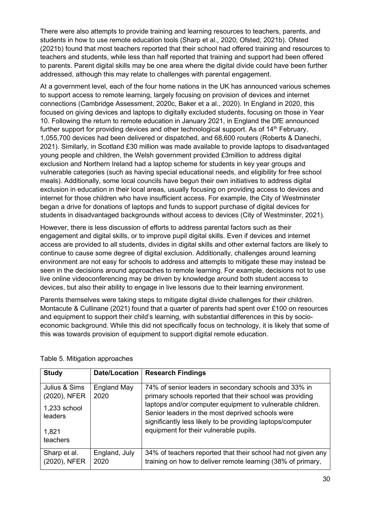There were also attempts to provide training and learning resources to teachers, parents, and students in how to use remote education tools (Sharp et al., 2020; Ofsted, 2021b). Ofsted (2021b) found that most teachers reported that their school had offered training and resources to teachers and students, while less than half reported that training and support had been offered to parents. Parent digital skills may be one area where the digital divide could have been further addressed, although this may relate to challenges with parental engagement.

At a government level, each of the four home nations in the UK has announced various schemes to support access to remote learning, largely focusing on provision of devices and internet connections (Cambridge Assessment, 2020c, Baker et a al., 2020). In England in 2020, this focused on giving devices and laptops to digitally excluded students, focusing on those in Year 10. Following the return to remote education in January 2021, in England the DfE announced further support for providing devices and other technological support. As of  $14<sup>th</sup>$  February, 1,055,700 devices had been delivered or dispatched, and 68,600 routers (Roberts & Danechi, 2021). Similarly, in Scotland £30 million was made available to provide laptops to disadvantaged young people and children, the Welsh government provided £3million to address digital exclusion and Northern Ireland had a laptop scheme for students in key year groups and vulnerable categories (such as having special educational needs, and eligibility for free school meals). Additionally, some local councils have begun their own initiatives to address digital exclusion in education in their local areas, usually focusing on providing access to devices and internet for those children who have insufficient access. For example, the City of Westminster began a drive for donations of laptops and funds to support purchase of digital devices for students in disadvantaged backgrounds without access to devices (City of Westminster, 2021).

However, there is less discussion of efforts to address parental factors such as their engagement and digital skills, or to improve pupil digital skills. Even if devices and internet access are provided to all students, divides in digital skills and other external factors are likely to continue to cause some degree of digital exclusion. Additionally, challenges around learning environment are not easy for schools to address and attempts to mitigate these may instead be seen in the decisions around approaches to remote learning. For example, decisions not to use live online videoconferencing may be driven by knowledge around both student access to devices, but also their ability to engage in live lessons due to their learning environment.

Parents themselves were taking steps to mitigate digital divide challenges for their children. Montacute & Cullinane (2021) found that a quarter of parents had spent over £100 on resources and equipment to support their child's learning, with substantial differences in this by socioeconomic background. While this did not specifically focus on technology, it is likely that some of this was towards provision of equipment to support digital remote education.

| <b>Study</b>                  | <b>Date/Location</b>       | <b>Research Findings</b>                                                                                                                                                    |
|-------------------------------|----------------------------|-----------------------------------------------------------------------------------------------------------------------------------------------------------------------------|
| Julius & Sims<br>(2020), NFER | <b>England May</b><br>2020 | 74% of senior leaders in secondary schools and 33% in<br>primary schools reported that their school was providing                                                           |
| 1,233 school<br>leaders       |                            | laptops and/or computer equipment to vulnerable children.<br>Senior leaders in the most deprived schools were<br>significantly less likely to be providing laptops/computer |
| 1,821<br>teachers             |                            | equipment for their vulnerable pupils.                                                                                                                                      |
| Sharp et al.<br>(2020), NFER  | England, July<br>2020      | 34% of teachers reported that their school had not given any<br>training on how to deliver remote learning (38% of primary,                                                 |

#### <span id="page-29-0"></span>Table 5. Mitigation approaches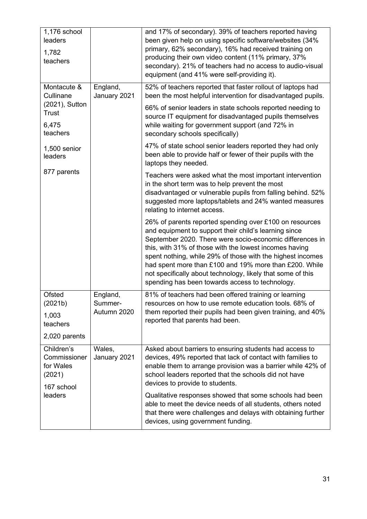| 1,176 school<br>leaders<br>1,782<br>teachers                               |                                    | and 17% of secondary). 39% of teachers reported having<br>been given help on using specific software/websites (34%<br>primary, 62% secondary), 16% had received training on<br>producing their own video content (11% primary, 37%<br>secondary). 21% of teachers had no access to audio-visual<br>equipment (and 41% were self-providing it).                                                                                                                                   |
|----------------------------------------------------------------------------|------------------------------------|----------------------------------------------------------------------------------------------------------------------------------------------------------------------------------------------------------------------------------------------------------------------------------------------------------------------------------------------------------------------------------------------------------------------------------------------------------------------------------|
| Montacute &<br>Cullinane<br>(2021), Sutton<br><b>Trust</b><br>6,475        | England,<br>January 2021           | 52% of teachers reported that faster rollout of laptops had<br>been the most helpful intervention for disadvantaged pupils.<br>66% of senior leaders in state schools reported needing to<br>source IT equipment for disadvantaged pupils themselves<br>while waiting for government support (and 72% in                                                                                                                                                                         |
| teachers<br>1,500 senior<br>leaders                                        |                                    | secondary schools specifically)<br>47% of state school senior leaders reported they had only<br>been able to provide half or fewer of their pupils with the<br>laptops they needed.                                                                                                                                                                                                                                                                                              |
| 877 parents                                                                |                                    | Teachers were asked what the most important intervention<br>in the short term was to help prevent the most<br>disadvantaged or vulnerable pupils from falling behind. 52%<br>suggested more laptops/tablets and 24% wanted measures<br>relating to internet access.                                                                                                                                                                                                              |
|                                                                            |                                    | 26% of parents reported spending over £100 on resources<br>and equipment to support their child's learning since<br>September 2020. There were socio-economic differences in<br>this, with 31% of those with the lowest incomes having<br>spent nothing, while 29% of those with the highest incomes<br>had spent more than £100 and 19% more than £200. While<br>not specifically about technology, likely that some of this<br>spending has been towards access to technology. |
| Ofsted<br>(2021b)<br>1,003<br>teachers<br>2,020 parents                    | England,<br>Summer-<br>Autumn 2020 | 81% of teachers had been offered training or learning<br>resources on how to use remote education tools. 68% of<br>them reported their pupils had been given training, and 40%<br>reported that parents had been.                                                                                                                                                                                                                                                                |
| Children's<br>Commissioner<br>for Wales<br>(2021)<br>167 school<br>leaders | Wales,<br>January 2021             | Asked about barriers to ensuring students had access to<br>devices, 49% reported that lack of contact with families to<br>enable them to arrange provision was a barrier while 42% of<br>school leaders reported that the schools did not have<br>devices to provide to students.                                                                                                                                                                                                |
|                                                                            |                                    | Qualitative responses showed that some schools had been<br>able to meet the device needs of all students, others noted<br>that there were challenges and delays with obtaining further<br>devices, using government funding.                                                                                                                                                                                                                                                     |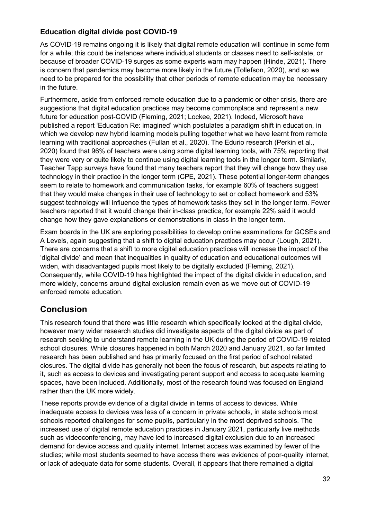# **Education digital divide post COVID-19**

As COVID-19 remains ongoing it is likely that digital remote education will continue in some form for a while; this could be instances where individual students or classes need to self-isolate, or because of broader COVID-19 surges as some experts warn may happen (Hinde, 2021). There is concern that pandemics may become more likely in the future (Tollefson, 2020), and so we need to be prepared for the possibility that other periods of remote education may be necessary in the future.

Furthermore, aside from enforced remote education due to a pandemic or other crisis, there are suggestions that digital education practices may become commonplace and represent a new future for education post-COVID (Fleming, 2021; Lockee, 2021). Indeed, Microsoft have published a report 'Education Re: imagined' which postulates a paradigm shift in education, in which we develop new hybrid learning models pulling together what we have learnt from remote learning with traditional approaches (Fullan et al., 2020). The Edurio research (Perkin et al., 2020) found that 96% of teachers were using some digital learning tools, with 75% reporting that they were very or quite likely to continue using digital learning tools in the longer term. Similarly, Teacher Tapp surveys have found that many teachers report that they will change how they use technology in their practice in the longer term (CPE, 2021). These potential longer-term changes seem to relate to homework and communication tasks, for example 60% of teachers suggest that they would make changes in their use of technology to set or collect homework and 53% suggest technology will influence the types of homework tasks they set in the longer term. Fewer teachers reported that it would change their in-class practice, for example 22% said it would change how they gave explanations or demonstrations in class in the longer term.

Exam boards in the UK are exploring possibilities to develop online examinations for GCSEs and A Levels, again suggesting that a shift to digital education practices may occur (Lough, 2021). There are concerns that a shift to more digital education practices will increase the impact of the 'digital divide' and mean that inequalities in quality of education and educational outcomes will widen, with disadvantaged pupils most likely to be digitally excluded (Fleming, 2021). Consequently, while COVID-19 has highlighted the impact of the digital divide in education, and more widely, concerns around digital exclusion remain even as we move out of COVID-19 enforced remote education.

# **Conclusion**

This research found that there was little research which specifically looked at the digital divide, however many wider research studies did investigate aspects of the digital divide as part of research seeking to understand remote learning in the UK during the period of COVID-19 related school closures. While closures happened in both March 2020 and January 2021, so far limited research has been published and has primarily focused on the first period of school related closures. The digital divide has generally not been the focus of research, but aspects relating to it, such as access to devices and investigating parent support and access to adequate learning spaces, have been included. Additionally, most of the research found was focused on England rather than the UK more widely.

These reports provide evidence of a digital divide in terms of access to devices. While inadequate access to devices was less of a concern in private schools, in state schools most schools reported challenges for some pupils, particularly in the most deprived schools. The increased use of digital remote education practices in January 2021, particularly live methods such as videoconferencing, may have led to increased digital exclusion due to an increased demand for device access and quality internet. Internet access was examined by fewer of the studies; while most students seemed to have access there was evidence of poor-quality internet, or lack of adequate data for some students. Overall, it appears that there remained a digital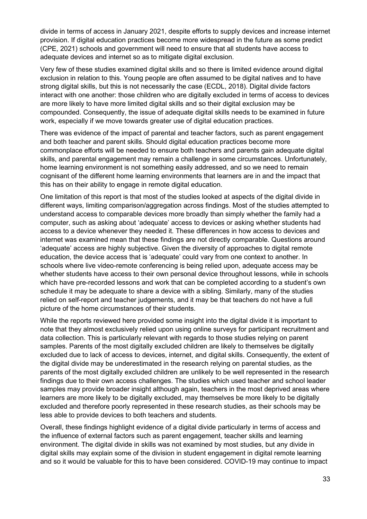divide in terms of access in January 2021, despite efforts to supply devices and increase internet provision. If digital education practices become more widespread in the future as some predict (CPE, 2021) schools and government will need to ensure that all students have access to adequate devices and internet so as to mitigate digital exclusion.

Very few of these studies examined digital skills and so there is limited evidence around digital exclusion in relation to this. Young people are often assumed to be digital natives and to have strong digital skills, but this is not necessarily the case (ECDL, 2018). Digital divide factors interact with one another: those children who are digitally excluded in terms of access to devices are more likely to have more limited digital skills and so their digital exclusion may be compounded. Consequently, the issue of adequate digital skills needs to be examined in future work, especially if we move towards greater use of digital education practices.

There was evidence of the impact of parental and teacher factors, such as parent engagement and both teacher and parent skills. Should digital education practices become more commonplace efforts will be needed to ensure both teachers and parents gain adequate digital skills, and parental engagement may remain a challenge in some circumstances. Unfortunately, home learning environment is not something easily addressed, and so we need to remain cognisant of the different home learning environments that learners are in and the impact that this has on their ability to engage in remote digital education.

One limitation of this report is that most of the studies looked at aspects of the digital divide in different ways, limiting comparison/aggregation across findings. Most of the studies attempted to understand access to comparable devices more broadly than simply whether the family had a computer, such as asking about 'adequate' access to devices or asking whether students had access to a device whenever they needed it. These differences in how access to devices and internet was examined mean that these findings are not directly comparable. Questions around 'adequate' access are highly subjective. Given the diversity of approaches to digital remote education, the device access that is 'adequate' could vary from one context to another. In schools where live video-remote conferencing is being relied upon, adequate access may be whether students have access to their own personal device throughout lessons, while in schools which have pre-recorded lessons and work that can be completed according to a student's own schedule it may be adequate to share a device with a sibling. Similarly, many of the studies relied on self-report and teacher judgements, and it may be that teachers do not have a full picture of the home circumstances of their students.

While the reports reviewed here provided some insight into the digital divide it is important to note that they almost exclusively relied upon using online surveys for participant recruitment and data collection. This is particularly relevant with regards to those studies relying on parent samples. Parents of the most digitally excluded children are likely to themselves be digitally excluded due to lack of access to devices, internet, and digital skills. Consequently, the extent of the digital divide may be underestimated in the research relying on parental studies, as the parents of the most digitally excluded children are unlikely to be well represented in the research findings due to their own access challenges. The studies which used teacher and school leader samples may provide broader insight although again, teachers in the most deprived areas where learners are more likely to be digitally excluded, may themselves be more likely to be digitally excluded and therefore poorly represented in these research studies, as their schools may be less able to provide devices to both teachers and students.

Overall, these findings highlight evidence of a digital divide particularly in terms of access and the influence of external factors such as parent engagement, teacher skills and learning environment. The digital divide in skills was not examined by most studies, but any divide in digital skills may explain some of the division in student engagement in digital remote learning and so it would be valuable for this to have been considered. COVID-19 may continue to impact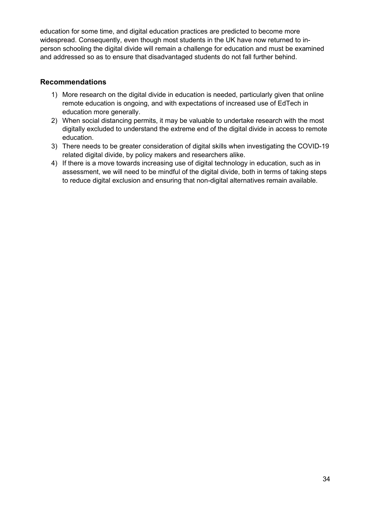education for some time, and digital education practices are predicted to become more widespread. Consequently, even though most students in the UK have now returned to inperson schooling the digital divide will remain a challenge for education and must be examined and addressed so as to ensure that disadvantaged students do not fall further behind.

### **Recommendations**

- 1) More research on the digital divide in education is needed, particularly given that online remote education is ongoing, and with expectations of increased use of EdTech in education more generally.
- 2) When social distancing permits, it may be valuable to undertake research with the most digitally excluded to understand the extreme end of the digital divide in access to remote education.
- 3) There needs to be greater consideration of digital skills when investigating the COVID-19 related digital divide, by policy makers and researchers alike.
- 4) If there is a move towards increasing use of digital technology in education, such as in assessment, we will need to be mindful of the digital divide, both in terms of taking steps to reduce digital exclusion and ensuring that non-digital alternatives remain available.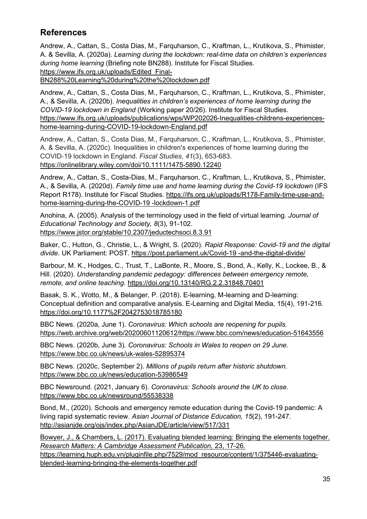# **References**

Andrew, A., Cattan, S., Costa Dias, M., Farquharson, C., Kraftman, L., Krutikova, S., Phimister, A. & Sevilla, A. (2020a). *Learning during the lockdown: real-time data on children's experiences during home learning* (Briefing note BN288). Institute for Fiscal Studies. [https://www.ifs.org.uk/uploads/Edited\\_Final-](https://www.ifs.org.uk/uploads/Edited_Final-BN288%20Learning%20during%20the%20lockdown.pdf)

[BN288%20Learning%20during%20the%20lockdown.pdf](https://www.ifs.org.uk/uploads/Edited_Final-BN288%20Learning%20during%20the%20lockdown.pdf) 

Andrew, A., Cattan, S., Costa Dias, M., Farquharson, C., Kraftman, L., Krutikova, S., Phimister, A., & Sevilla, A. (2020b). *Inequalities in children's experiences of home learning during the COVID-19 lockdown in England* (Working paper 20/26). Institute for Fiscal Studies. [https://www.ifs.org.uk/uploads/publications/wps/WP202026-Inequalities-childrens-experiences](https://www.ifs.org.uk/uploads/publications/wps/WP202026-Inequalities-childrens-experiences-home-learning-during-COVID-19-lockdown-England.pdf)[home-learning-during-COVID-19-lockdown-England.pdf](https://www.ifs.org.uk/uploads/publications/wps/WP202026-Inequalities-childrens-experiences-home-learning-during-COVID-19-lockdown-England.pdf)

Andrew, A., Cattan, S., Costa Dias, M., Farquharson, C., Kraftman, L., Krutikova, S., Phimister, A. & Sevilla, A. (2020c). Inequalities in children's experiences of home learning during the COVID‐19 lockdown in England. *Fiscal Studies*, *41*(3), 653-683. <https://onlinelibrary.wiley.com/doi/10.1111/1475-5890.12240>

Andrew, A., Cattan, S., Costa-Dias, M., Farquharson, C., Kraftman, L., Krutikova, S., Phimister, A., & Sevilla, A. (2020d)*. Family time use and home learning during the Covid-19 lockdown* (IFS Report R178). Institute for Fiscal Studies. [https://ifs.org.uk/uploads/R178-Family-time-use-and](https://ifs.org.uk/uploads/R178-Family-time-use-and-home-learning-during-the-COVID-19-lockdown-1.pdf)[home-learning-during-the-COVID-19 -lockdown-1.pdf](https://ifs.org.uk/uploads/R178-Family-time-use-and-home-learning-during-the-COVID-19-lockdown-1.pdf)

Anohina, A. (2005). Analysis of the terminology used in the field of virtual learning*. Journal of Educational Technology and Society, 8*(3), 91-102. <https://www.jstor.org/stable/10.2307/jeductechsoci.8.3.91>

Baker, C., Hutton, G., Christie, L., & Wright, S. (2020). *Rapid Response: Covid-19 and the digital divide*. UK Parliament: POST. [https://post.parliament.uk/Covid-19 -and-the-digital-divide/](https://post.parliament.uk/covid-19-and-the-digital-divide/)

Barbour, M. K., Hodges, C., Trust, T., LaBonte, R., Moore, S., Bond, A., Kelly, K., Lockee, B., & Hill. (2020). *Understanding pandemic pedagogy: differences between emergency remote, remote, and online teaching*.<https://doi.org/10.13140/RG.2.2.31848.70401>

Basak, S. K., Wotto, M., & Belanger, P. (2018). E-learning, M-learning and D-learning: Conceptual definition and comparative analysis. E-Learning and Digital Media, 15(4), 191-216. <https://doi.org/10.1177%2F2042753018785180>

BBC News. (2020a, June 1). *Coronavirus: Which schools are reopening for pupils.*  [https://web.archive.org/web/20200601120612/https://www.bbc.com/news/education-51643556](https://web.archive.org/web/20200601120612/https:/www.bbc.com/news/education-51643556)

BBC News. (2020b, June 3). *Coronavirus: Schools in Wales to reopen on 29 June.* <https://www.bbc.co.uk/news/uk-wales-52895374>

BBC News. (2020c, September 2). *Millions of pupils return after historic shutdown.* <https://www.bbc.co.uk/news/education-53986549>

BBC Newsround. (2021, January 6). *Coronavirus: Schools around the UK to close.*  <https://www.bbc.co.uk/newsround/55538338>

Bond, M., (2020). Schools and emergency remote education during the Covid-19 pandemic: A living rapid systematic review. *Asian Journal of Distance Education, 15*(2), 191-247. <http://asianjde.org/ojs/index.php/AsianJDE/article/view/517/331>

Bowyer, J., & Chambers, L. (2017). Evaluating blended learning: Bringing the elements together. *Research Matters: A Cambridge Assessment Publication,* 23, 17-26. [https://learning.huph.edu.vn/pluginfile.php/7529/mod\\_resource/content/1/375446-evaluating](https://learning.huph.edu.vn/pluginfile.php/7529/mod_resource/content/1/375446-evaluating-blended-learning-bringing-the-elements-together.pdf)[blended-learning-bringing-the-elements-together.pdf](https://learning.huph.edu.vn/pluginfile.php/7529/mod_resource/content/1/375446-evaluating-blended-learning-bringing-the-elements-together.pdf)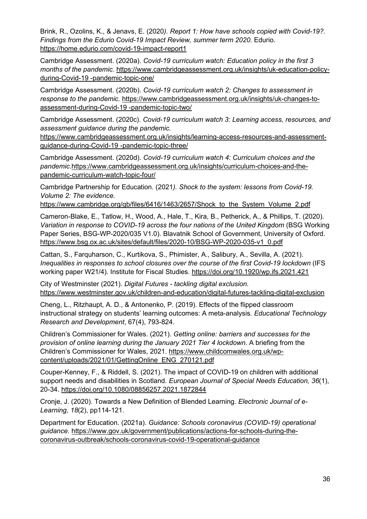Brink, R., Ozolins, K., & Jenavs, E. (2020*). Report 1: How have schools copied with Covid-19?. Findings from the Edurio Covid-19 Impact Review, summer term 2020*. Edurio. <https://home.edurio.com/covid-19-impact-report1>

Cambridge Assessment. (2020a). *Covid-19 curriculum watch: Education policy in the first 3 months of the pandemic.* [https://www.cambridgeassessment.org.uk/insights/uk-education-policy](https://www.cambridgeassessment.org.uk/insights/uk-education-policy-during-covid-19-pandemic-topic-one/)[during-Covid-19 -pandemic-topic-one/](https://www.cambridgeassessment.org.uk/insights/uk-education-policy-during-covid-19-pandemic-topic-one/)

Cambridge Assessment. (2020b). *Covid-19 curriculum watch 2: Changes to assessment in response to the pandemic.* [https://www.cambridgeassessment.org.uk/insights/uk-changes-to](https://www.cambridgeassessment.org.uk/insights/uk-changes-to-assessment-during-covid-19-pandemic-topic-two/)[assessment-during-Covid-19 -pandemic-topic-two/](https://www.cambridgeassessment.org.uk/insights/uk-changes-to-assessment-during-covid-19-pandemic-topic-two/)

Cambridge Assessment. (2020c). *Covid-19 curriculum watch 3: Learning access, resources, and assessment guidance during the pandemic.* 

[https://www.cambridgeassessment.org.uk/insights/learning-access-resources-and-assessment](https://www.cambridgeassessment.org.uk/insights/learning-access-resources-and-assessment-guidance-during-covid-19-pandemic-topic-three/)[guidance-during-Covid-19 -pandemic-topic-three/](https://www.cambridgeassessment.org.uk/insights/learning-access-resources-and-assessment-guidance-during-covid-19-pandemic-topic-three/)

Cambridge Assessment. (2020d). *Covid-19 curriculum watch 4: Curriculum choices and the pandemic*[.https://www.cambridgeassessment.org.uk/insights/curriculum-choices-and-the](https://www.cambridgeassessment.org.uk/insights/curriculum-choices-and-the-pandemic-curriculum-watch-topic-four/)[pandemic-curriculum-watch-topic-four/](https://www.cambridgeassessment.org.uk/insights/curriculum-choices-and-the-pandemic-curriculum-watch-topic-four/)

Cambridge Partnership for Education. (2021*). Shock to the system: lessons from Covid-19. Volume 2: The evidence.*

https://www.cambridge.org/gb/files/6416/1463/2657/Shock to the System Volume 2.pdf

Cameron-Blake, E., Tatlow, H., Wood, A., Hale, T., Kira, B., Petherick, A., & Phillips, T. (2020). *Variation in response to COVID-19 across the four nations of the United Kingdom* (BSG Working Paper Series, BSG-WP-2020/035 V1.0). Blavatnik School of Government, University of Oxford. [https://www.bsg.ox.ac.uk/sites/default/files/2020-10/BSG-WP-2020-035-v1\\_0.pdf](https://www.bsg.ox.ac.uk/sites/default/files/2020-10/BSG-WP-2020-035-v1_0.pdf)

Cattan, S., Farquharson, C., Kurtikova, S., Phimister, A., Salibury, A., Sevilla, A. (2021). *Inequalities in responses to school closures over the course of the first Covid-19 lockdown* (IFS working paper W21/4)*.* Institute for Fiscal Studies.<https://doi.org/10.1920/wp.ifs.2021.421>

City of Westminster (2021). *Digital Futures - tackling digital exclusion.*  <https://www.westminster.gov.uk/children-and-education/digital-futures-tackling-digital-exclusion>

Cheng, L., Ritzhaupt, A. D., & Antonenko, P. (2019). Effects of the flipped classroom instructional strategy on students' learning outcomes: A meta-analysis*. Educational Technology Research and Development*, 67(4), 793-824.

Children's Commissioner for Wales. (2021). *Getting online: barriers and successes for the provision of online learning during the January 2021 Tier 4 lockdown*. A briefing from the Children's Commissioner for Wales, 2021. [https://www.childcomwales.org.uk/wp](https://www.childcomwales.org.uk/wp-content/uploads/2021/01/GettingOnline_ENG_270121.pdf)[content/uploads/2021/01/GettingOnline\\_ENG\\_270121.pdf](https://www.childcomwales.org.uk/wp-content/uploads/2021/01/GettingOnline_ENG_270121.pdf)

Couper-Kenney, F., & Riddell, S. (2021). The impact of COVID-19 on children with additional support needs and disabilities in Scotland. *European Journal of Special Needs Education, 36*(1), 20-34. <https://doi.org/10.1080/08856257.2021.1872844>

Cronje, J. (2020). Towards a New Definition of Blended Learning*. Electronic Journal of e-Learning, 18*(2), pp114-121.

Department for Education. (2021a). *Guidance: Schools coronavirus (COVID-19) operational guidance.* [https://www.gov.uk/government/publications/actions-for-schools-during-the](https://www.gov.uk/government/publications/actions-for-schools-during-the-coronavirus-outbreak/schools-coronavirus-covid-19-operational-guidance)[coronavirus-outbreak/schools-coronavirus-covid-19-operational-guidance](https://www.gov.uk/government/publications/actions-for-schools-during-the-coronavirus-outbreak/schools-coronavirus-covid-19-operational-guidance)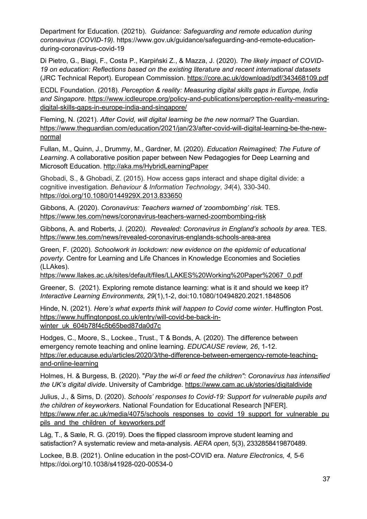Department for Education. (2021b). *Guidance: Safeguarding and remote education during coronavirus (COVID-19).* https://www.gov.uk/guidance/safeguarding-and-remote-educationduring-coronavirus-covid-19

Di Pietro, G., Biagi, F., Costa P., Karpiński Z., & Mazza, J. (2020). *The likely impact of COVID-19 on education: Reflections based on the existing literature and recent international datasets* (JRC Technical Report). European Commission.<https://core.ac.uk/download/pdf/343468109.pdf>

ECDL Foundation. (2018). *Perception & reality: Measuring digital skills gaps in Europe, India and Singapore.* [https://www.icdleurope.org/policy-and-publications/perception-reality-measuring](https://www.icdleurope.org/policy-and-publications/perception-reality-measuring-digital-skills-gaps-in-europe-india-and-singapore/)[digital-skills-gaps-in-europe-india-and-singapore/](https://www.icdleurope.org/policy-and-publications/perception-reality-measuring-digital-skills-gaps-in-europe-india-and-singapore/)

Fleming, N. (2021)*. After Covid, will digital learning be the new normal?* The Guardian. [https://www.theguardian.com/education/2021/jan/23/after-covid-will-digital-learning-be-the-new](https://www.theguardian.com/education/2021/jan/23/after-covid-will-digital-learning-be-the-new-normal)[normal](https://www.theguardian.com/education/2021/jan/23/after-covid-will-digital-learning-be-the-new-normal)

Fullan, M., Quinn, J., Drummy, M., Gardner, M. (2020). *Education Reimagined; The Future of Learning*. A collaborative position paper between New Pedagogies for Deep Learning and Microsoft Education.<http://aka.ms/HybridLearningPaper>

Ghobadi, S., & Ghobadi, Z. (2015). How access gaps interact and shape digital divide: a cognitive investigation. *Behaviour & Information Technology*, *34*(4), 330-340. <https://doi.org/10.1080/0144929X.2013.833650>

Gibbons, A. (2020). *Coronavirus: Teachers warned of 'zoombombing' risk.* TES. <https://www.tes.com/news/coronavirus-teachers-warned-zoombombing-risk>

Gibbons, A. and Roberts, J. (2020*). Revealed: Coronavirus in England's schools by area.* TES. <https://www.tes.com/news/revealed-coronavirus-englands-schools-area-area>

Green, F. (2020). *Schoolwork in lockdown: new evidence on the epidemic of educational poverty*. Centre for Learning and Life Chances in Knowledge Economies and Societies (LLAkes).

[https://www.llakes.ac.uk/sites/default/files/LLAKES%20Working%20Paper%2067\\_0.pdf](https://www.llakes.ac.uk/sites/default/files/LLAKES%20Working%20Paper%2067_0.pdf)

Greener, S. (2021). Exploring remote distance learning: what is it and should we keep it? *Interactive Learning Environments, 29*(1),1-2, doi:10.1080/10494820.2021.1848506

Hinde, N. (2021). *Here's what experts think will happen to Covid come winter*. Huffington Post. [https://www.huffingtonpost.co.uk/entry/will-covid-be-back-in](https://www.huffingtonpost.co.uk/entry/will-covid-be-back-in-winter_uk_604b78f4c5b65bed87da0d7c)[winter\\_uk\\_604b78f4c5b65bed87da0d7c](https://www.huffingtonpost.co.uk/entry/will-covid-be-back-in-winter_uk_604b78f4c5b65bed87da0d7c)

Hodges, C., Moore, S., Lockee., Trust., T & Bonds, A. (2020). The difference between emergency remote teaching and online learning. *EDUCAUSE review, 26*, 1-12. [https://er.educause.edu/articles/2020/3/the-difference-between-emergency-remote-teaching](https://er.educause.edu/articles/2020/3/the-difference-between-emergency-remote-teaching-and-online-learning)[and-online-learning](https://er.educause.edu/articles/2020/3/the-difference-between-emergency-remote-teaching-and-online-learning)

Holmes, H. & Burgess, B. (2020). "*Pay the wi-fi or feed the children": Coronavirus has intensified the UK's digital divide*. University of Cambridge.<https://www.cam.ac.uk/stories/digitaldivide>

Julius, J., & Sims, D. (2020). *Schools' responses to Covid-19: Support for vulnerable pupils and the children of keyworkers*. National Foundation for Educational Research [NFER]. [https://www.nfer.ac.uk/media/4075/schools\\_responses\\_to\\_covid\\_19\\_support\\_for\\_vulnerable\\_pu](https://www.nfer.ac.uk/media/4075/schools_responses_to_covid_19_support_for_vulnerable_pupils_and_the_children_of_keyworkers.pdf) pils and the children of keyworkers.pdf

Låg, T., & Sæle, R. G. (2019). Does the flipped classroom improve student learning and satisfaction? A systematic review and meta-analysis. *AERA open*, 5(3), 2332858419870489.

Lockee, B.B. (2021). Online education in the post-COVID era. *Nature Electronics, 4,* 5-6 https://doi.org/10.1038/s41928-020-00534-0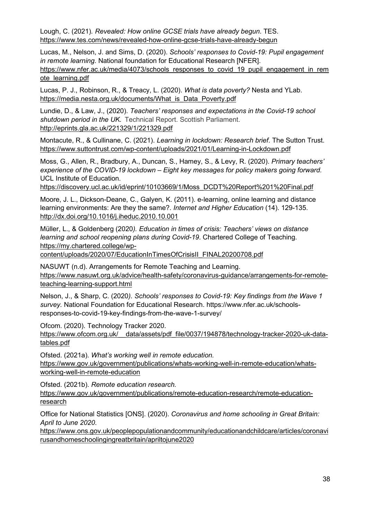Lough, C. (2021)*. Revealed: How online GCSE trials have already begun*. TES. <https://www.tes.com/news/revealed-how-online-gcse-trials-have-already-begun>

Lucas, M., Nelson, J. and Sims, D. (2020). *Schools' responses to Covid-19: Pupil engagement in remote learning*. National foundation for Educational Research [NFER]. [https://www.nfer.ac.uk/media/4073/schools\\_responses\\_to\\_covid\\_19\\_pupil\\_engagement\\_in\\_rem](https://www.nfer.ac.uk/media/4073/schools_responses_to_covid_19_pupil_engagement_in_remote_learning.pdf) [ote\\_learning.pdf](https://www.nfer.ac.uk/media/4073/schools_responses_to_covid_19_pupil_engagement_in_remote_learning.pdf)

Lucas, P. J., Robinson, R., & Treacy, L. (2020). *What is data poverty?* Nesta and YLab. [https://media.nesta.org.uk/documents/What\\_is\\_Data\\_Poverty.pdf](https://media.nesta.org.uk/documents/What_is_Data_Poverty.pdf)

Lundie, D., & Law, J., (2020). *Teachers' responses and expectations in the Covid-19 school shutdown period in the UK.* Technical Report. Scottish Parliament. <http://eprints.gla.ac.uk/221329/1/221329.pdf>

Montacute, R., & Cullinane, C. (2021). *Learning in lockdown: Research brief*. The Sutton Trust. <https://www.suttontrust.com/wp-content/uploads/2021/01/Learning-in-Lockdown.pdf>

Moss, G., Allen, R., Bradbury, A., Duncan, S., Hamey, S., & Levy, R. (2020). *Primary teachers' experience of the COVID-19 lockdown – Eight key messages for policy makers going forward.* UCL Institute of Education.

[https://discovery.ucl.ac.uk/id/eprint/10103669/1/Moss\\_DCDT%20Report%201%20Final.pdf](https://discovery.ucl.ac.uk/id/eprint/10103669/1/Moss_DCDT%20Report%201%20Final.pdf)

Moore, J. L., Dickson-Deane, C., Galyen, K. (2011). e-learning, online learning and distance learning environments: Are they the same?. *Internet and Higher Education* (14). 129-135. <http://dx.doi.org/10.1016/j.iheduc.2010.10.001>

Müller, L., & Goldenberg (2020*). Education in times of crisis: Teachers' views on distance learning and school reopening plans during Covid-19*. Chartered College of Teaching. [https://my.chartered.college/wp-](https://my.chartered.college/wp-content/uploads/2020/07/EducationInTimesOfCrisisII_FINAL20200708.pdf)

[content/uploads/2020/07/EducationInTimesOfCrisisII\\_FINAL20200708.pdf](https://my.chartered.college/wp-content/uploads/2020/07/EducationInTimesOfCrisisII_FINAL20200708.pdf)

NASUWT (n.d). Arrangements for Remote Teaching and Learning. [https://www.nasuwt.org.uk/advice/health-safety/coronavirus-guidance/arrangements-for-remote](https://www.nasuwt.org.uk/advice/health-safety/coronavirus-guidance/arrangements-for-remote-teaching-learning-support.html)[teaching-learning-support.html](https://www.nasuwt.org.uk/advice/health-safety/coronavirus-guidance/arrangements-for-remote-teaching-learning-support.html)

Nelson, J., & Sharp, C. (2020*). Schools' responses to Covid-19: Key findings from the Wave 1 survey.* National Foundation for Educational Research. [https://www.nfer.ac.uk/schools](https://www.nfer.ac.uk/schools-responses-to-covid-19-key-findings-from-the-wave-1-survey/)[responses-to-covid-19-key-findings-from-the-wave-1-survey/](https://www.nfer.ac.uk/schools-responses-to-covid-19-key-findings-from-the-wave-1-survey/)

Ofcom. (2020). Technology Tracker 2020.

https://www.ofcom.org.uk/ data/assets/pdf file/0037/194878/technology-tracker-2020-uk-data[tables.pdf](https://www.ofcom.org.uk/__data/assets/pdf_file/0037/194878/technology-tracker-2020-uk-data-tables.pdf)

Ofsted. (2021a). *What's working well in remote education.*

[https://www.gov.uk/government/publications/whats-working-well-in-remote-education/whats](https://www.gov.uk/government/publications/whats-working-well-in-remote-education/whats-working-well-in-remote-education)[working-well-in-remote-education](https://www.gov.uk/government/publications/whats-working-well-in-remote-education/whats-working-well-in-remote-education)

Ofsted. (2021b). *Remote education research.*

[https://www.gov.uk/government/publications/remote-education-research/remote-education](https://www.gov.uk/government/publications/remote-education-research/remote-education-research)[research](https://www.gov.uk/government/publications/remote-education-research/remote-education-research)

Office for National Statistics [ONS]. (2020). *Coronavirus and home schooling in Great Britain: April to June 2020*.

[https://www.ons.gov.uk/peoplepopulationandcommunity/educationandchildcare/articles/coronavi](https://www.ons.gov.uk/peoplepopulationandcommunity/educationandchildcare/articles/coronavirusandhomeschoolingingreatbritain/apriltojune2020) [rusandhomeschoolingingreatbritain/apriltojune2020](https://www.ons.gov.uk/peoplepopulationandcommunity/educationandchildcare/articles/coronavirusandhomeschoolingingreatbritain/apriltojune2020)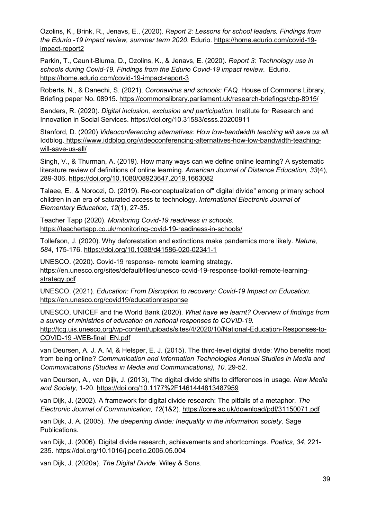Ozolins, K., Brink, R., Jenavs, E., (2020). *Report 2: Lessons for school leaders. Findings from the Edurio -19 impact review, summer term 2020*. Edurio. [https://home.edurio.com/covid-19](https://home.edurio.com/covid-19-impact-report2) [impact-report2](https://home.edurio.com/covid-19-impact-report2)

Parkin, T., Caunit-Bluma, D., Ozolins, K., & Jenavs, E. (2020). *Report 3: Technology use in schools during Covid-19. Findings from the Edurio Covid-19 impact review*. Edurio. <https://home.edurio.com/covid-19-impact-report-3>

Roberts, N., & Danechi, S. (2021). *Coronavirus and schools: FAQ.* House of Commons Library, Briefing paper No. 08915.<https://commonslibrary.parliament.uk/research-briefings/cbp-8915/>

Sanders, R. (2020). *Digital inclusion, exclusion and participation.* Institute for Research and Innovation in Social Services.<https://doi.org/10.31583/esss.20200911>

Stanford, D. (2020) *Videoconferencing alternatives: How low-bandwidth teaching will save us all.*  Iddblog. [https://www.iddblog.org/videoconferencing-alternatives-how-low-bandwidth-teaching](https://www.iddblog.org/videoconferencing-alternatives-how-low-bandwidth-teaching-will-save-us-all/)[will-save-us-all/](https://www.iddblog.org/videoconferencing-alternatives-how-low-bandwidth-teaching-will-save-us-all/)

Singh, V., & Thurman, A. (2019). How many ways can we define online learning? A systematic literature review of definitions of online learning. *American Journal of Distance Education, 33*(4), 289-306.<https://doi.org/10.1080/08923647.2019.1663082>

Talaee, E., & Noroozi, O. (2019). Re-conceptualization of" digital divide" among primary school children in an era of saturated access to technology. *International Electronic Journal of Elementary Education, 12*(1), 27-35.

Teacher Tapp (2020). *Monitoring Covid-19 readiness in schools.* <https://teachertapp.co.uk/monitoring-covid-19-readiness-in-schools/>

Tollefson, J. (2020). Why deforestation and extinctions make pandemics more likely. *Nature, 584*, 175-176.<https://doi.org/10.1038/d41586-020-02341-1>

UNESCO. (2020). Covid-19 response- remote learning strategy. [https://en.unesco.org/sites/default/files/unesco-covid-19-response-toolkit-remote-learning](https://en.unesco.org/sites/default/files/unesco-covid-19-response-toolkit-remote-learning-strategy.pdf)[strategy.pdf](https://en.unesco.org/sites/default/files/unesco-covid-19-response-toolkit-remote-learning-strategy.pdf)

UNESCO. (2021). *Education: From Disruption to recovery: Covid-19 Impact on Education.* <https://en.unesco.org/covid19/educationresponse>

UNESCO, UNICEF and the World Bank (2020). *What have we learnt? Overview of findings from a survey of ministries of education on national responses to COVID-19.* [http://tcg.uis.unesco.org/wp-content/uploads/sites/4/2020/10/National-Education-Responses-to-](http://tcg.uis.unesco.org/wp-content/uploads/sites/4/2020/10/National-Education-Responses-to-COVID-19-WEB-final_EN.pdf)[COVID-19 -WEB-final\\_EN.pdf](http://tcg.uis.unesco.org/wp-content/uploads/sites/4/2020/10/National-Education-Responses-to-COVID-19-WEB-final_EN.pdf)

van Deursen, A. J. A. M, & Helsper, E. J. (2015). The third-level digital divide: Who benefits most from being online? *Communication and Information Technologies Annual Studies in Media and Communications (Studies in Media and Communications), 10*, 29-52.

van Deursen, A., van Dijk, J. (2013), The digital divide shifts to differences in usage. *New Media and Society*, 1-20.<https://doi.org/10.1177%2F1461444813487959>

van Dijk, J. (2002). A framework for digital divide research: The pitfalls of a metaphor*. The Electronic Journal of Communication, 12*(1&2). <https://core.ac.uk/download/pdf/31150071.pdf>

van Dijk, J. A. (2005). *The deepening divide: Inequality in the information society*. Sage Publications.

van Dijk, J. (2006). Digital divide research, achievements and shortcomings*. Poetics, 34*, 221- 235.<https://doi.org/10.1016/j.poetic.2006.05.004>

van Dijk, J. (2020a). *The Digital Divide.* Wiley & Sons.